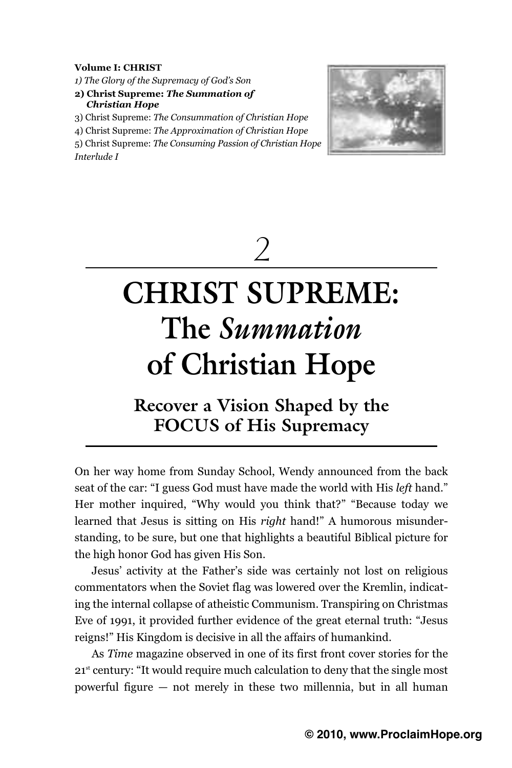#### **Volume I: CHRIST**

*1) The Glory of the Supremacy of God's Son*

- **2) Christ Supreme:** *The Summation of Christian Hope*
- 3) Christ Supreme: *The Consummation of Christian Hope*

4) Christ Supreme: *The Approximation of Christian Hope*

5) Christ Supreme: *The Consuming Passion of Christian Hope Interlude I*





**Recover a Vision Shaped by the FOCUS of His Supremacy**

On her way home from Sunday School, Wendy announced from the back seat of the car: "I guess God must have made the world with His *left* hand." Her mother inquired, "Why would you think that?" "Because today we learned that Jesus is sitting on His *right* hand!" A humorous misunderstanding, to be sure, but one that highlights a beautiful Biblical picture for the high honor God has given His Son.

Jesus' activity at the Father's side was certainly not lost on religious commentators when the Soviet flag was lowered over the Kremlin, indicating the internal collapse of atheistic Communism. Transpiring on Christmas Eve of 1991, it provided further evidence of the great eternal truth: "Jesus reigns!" His Kingdom is decisive in all the affairs of humankind.

As *Time* magazine observed in one of its first front cover stories for the 21<sup>st</sup> century: "It would require much calculation to deny that the single most powerful figure — not merely in these two millennia, but in all human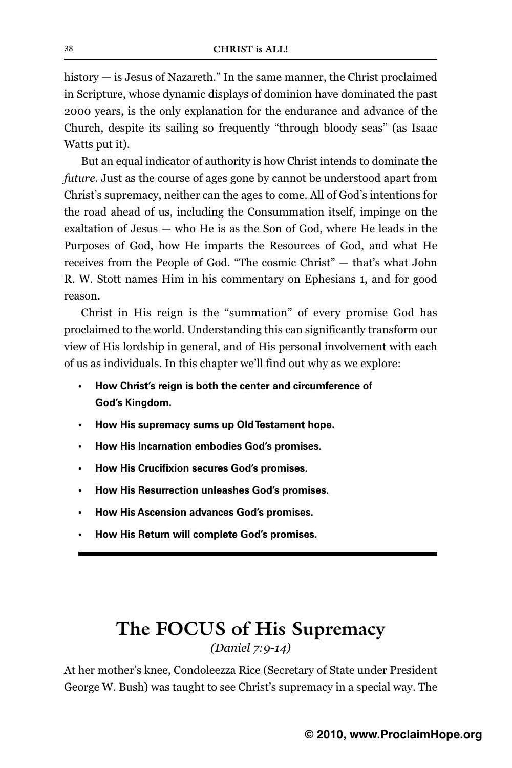history — is Jesus of Nazareth." In the same manner, the Christ proclaimed in Scripture, whose dynamic displays of dominion have dominated the past 2000 years, is the only explanation for the endurance and advance of the Church, despite its sailing so frequently "through bloody seas" (as Isaac Watts put it).

But an equal indicator of authority is how Christ intends to dominate the *future*. Just as the course of ages gone by cannot be understood apart from Christ's supremacy, neither can the ages to come. All of God's intentions for the road ahead of us, including the Consummation itself, impinge on the exaltation of Jesus — who He is as the Son of God, where He leads in the Purposes of God, how He imparts the Resources of God, and what He receives from the People of God. "The cosmic Christ" — that's what John R. W. Stott names Him in his commentary on Ephesians 1, and for good reason.

Christ in His reign is the "summation" of every promise God has proclaimed to the world. Understanding this can significantly transform our view of His lordship in general, and of His personal involvement with each of us as individuals. In this chapter we'll find out why as we explore:

- **• How Christ's reign is both the center and circumference of God's Kingdom.**
- **• How His supremacy sums up OldTestament hope.**
- **• How His Incarnation embodies God's promises.**
- **• How His Crucifixion secures God's promises.**
- **• How His Resurrection unleashes God's promises.**
- **• How His Ascension advances God's promises.**
- **• How His Return will complete God's promises.**

## **The FOCUS of His Supremacy** *(Daniel 7:9-14)*

At her mother's knee, Condoleezza Rice (Secretary of State under President George W. Bush) was taught to see Christ's supremacy in a special way. The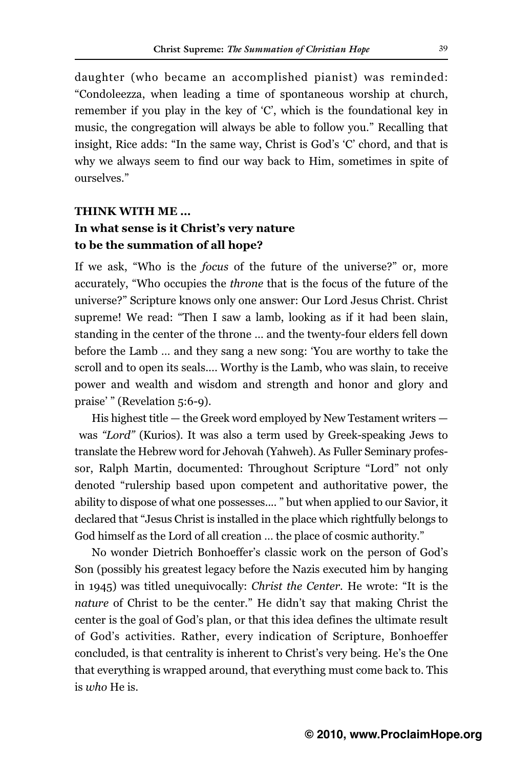daughter (who became an accomplished pianist) was reminded: "Condoleezza, when leading a time of spontaneous worship at church, remember if you play in the key of  $C$ , which is the foundational key in music, the congregation will always be able to follow you." Recalling that insight, Rice adds: "In the same way, Christ is God's 'C' chord, and that is why we always seem to find our way back to Him, sometimes in spite of ourselves."

## **THINK WITH ME … In what sense is it Christ's very nature to be the summation of all hope?**

If we ask, "Who is the *focus* of the future of the universe?" or, more accurately, "Who occupies the *throne* that is the focus of the future of the universe?" Scripture knows only one answer: Our Lord Jesus Christ. Christ supreme! We read: "Then I saw a lamb, looking as if it had been slain, standing in the center of the throne … and the twenty-four elders fell down before the Lamb … and they sang a new song: 'You are worthy to take the scroll and to open its seals.... Worthy is the Lamb, who was slain, to receive power and wealth and wisdom and strength and honor and glory and praise' " (Revelation 5:6-9).

His highest title — the Greek word employed by New Testament writers was *"Lord"* (Kurios). It was also a term used by Greek-speaking Jews to translate the Hebrew word for Jehovah (Yahweh). As Fuller Seminary professor, Ralph Martin, documented: Throughout Scripture "Lord" not only denoted "rulership based upon competent and authoritative power, the ability to dispose of what one possesses.... " but when applied to our Savior, it declared that "Jesus Christ is installed in the place which rightfully belongs to God himself as the Lord of all creation … the place of cosmic authority."

No wonder Dietrich Bonhoeffer's classic work on the person of God's Son (possibly his greatest legacy before the Nazis executed him by hanging in 1945) was titled unequivocally: *Christ the Center.* He wrote: "It is the *nature* of Christ to be the center." He didn't say that making Christ the center is the goal of God's plan, or that this idea defines the ultimate result of God's activities. Rather, every indication of Scripture, Bonhoeffer concluded, is that centrality is inherent to Christ's very being. He's the One that everything is wrapped around, that everything must come back to. This is *who* He is.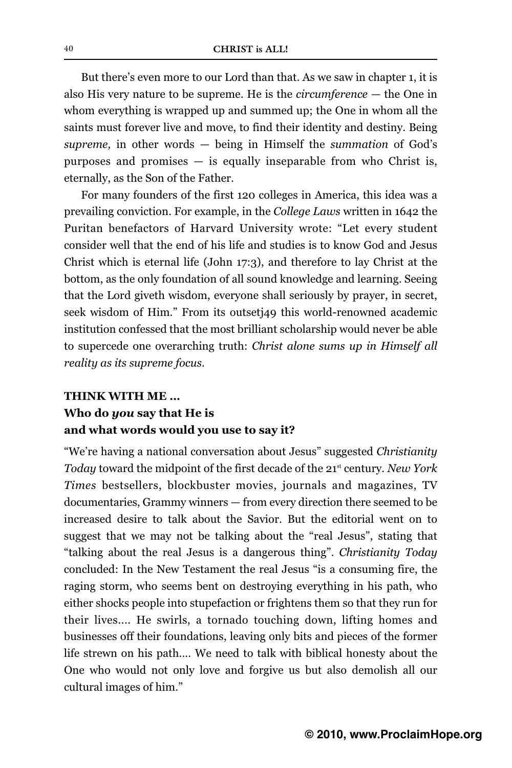But there's even more to our Lord than that. As we saw in chapter 1, it is also His very nature to be supreme. He is the *circumference* — the One in whom everything is wrapped up and summed up; the One in whom all the saints must forever live and move, to find their identity and destiny. Being *supreme,* in other words — being in Himself the *summation* of God's purposes and promises  $-$  is equally inseparable from who Christ is, eternally, as the Son of the Father.

For many founders of the first 120 colleges in America, this idea was a prevailing conviction. For example, in the *College Laws* written in 1642 the Puritan benefactors of Harvard University wrote: "Let every student consider well that the end of his life and studies is to know God and Jesus Christ which is eternal life (John 17:3), and therefore to lay Christ at the bottom, as the only foundation of all sound knowledge and learning. Seeing that the Lord giveth wisdom, everyone shall seriously by prayer, in secret, seek wisdom of Him." From its outsetj49 this world-renowned academic institution confessed that the most brilliant scholarship would never be able to supercede one overarching truth: *Christ alone sums up in Himself all reality as its supreme focus.*

#### **THINK WITH ME …**

## **Who do** *you* **say that He is and what words would you use to say it?**

"We're having a national conversation about Jesus" suggested *Christianity Today* toward the midpoint of the first decade of the 21<sup>st</sup> century. *New York Times* bestsellers, blockbuster movies, journals and magazines, TV documentaries, Grammy winners — from every direction there seemed to be increased desire to talk about the Savior. But the editorial went on to suggest that we may not be talking about the "real Jesus", stating that "talking about the real Jesus is a dangerous thing". *Christianity Today* concluded: In the New Testament the real Jesus "is a consuming fire, the raging storm, who seems bent on destroying everything in his path, who either shocks people into stupefaction or frightens them so that they run for their lives.... He swirls, a tornado touching down, lifting homes and businesses off their foundations, leaving only bits and pieces of the former life strewn on his path.... We need to talk with biblical honesty about the One who would not only love and forgive us but also demolish all our cultural images of him."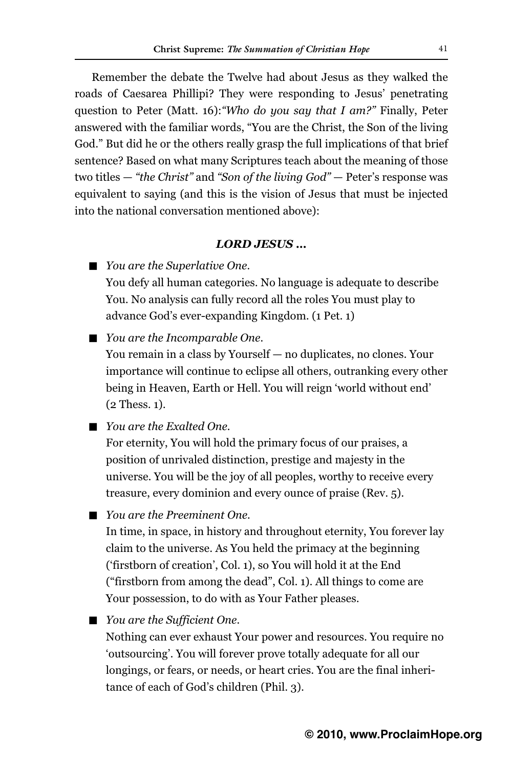Remember the debate the Twelve had about Jesus as they walked the roads of Caesarea Phillipi? They were responding to Jesus' penetrating question to Peter (Matt. 16):*"Who do you say that I am?"* Finally, Peter answered with the familiar words, "You are the Christ, the Son of the living God." But did he or the others really grasp the full implications of that brief sentence? Based on what many Scriptures teach about the meaning of those two titles — *"the Christ"* and *"Son of the living God"* — Peter's response was equivalent to saying (and this is the vision of Jesus that must be injected into the national conversation mentioned above):

#### *LORD JESUS …*

■ *You are the Superlative One.* You defy all human categories. No language is adequate to describe You. No analysis can fully record all the roles You must play to advance God's ever-expanding Kingdom. (1 Pet. 1)

*You are the Incomparable One.*

You remain in a class by Yourself — no duplicates, no clones. Your importance will continue to eclipse all others, outranking every other being in Heaven, Earth or Hell. You will reign 'world without end' (2 Thess. 1).

■ *You are the Exalted One.* 

For eternity, You will hold the primary focus of our praises, a position of unrivaled distinction, prestige and majesty in the universe. You will be the joy of all peoples, worthy to receive every treasure, every dominion and every ounce of praise (Rev. 5).

■ *You are the Preeminent One.* 

In time, in space, in history and throughout eternity, You forever lay claim to the universe. As You held the primacy at the beginning ('firstborn of creation', Col. 1), so You will hold it at the End ("firstborn from among the dead", Col. 1). All things to come are Your possession, to do with as Your Father pleases.

■ *You are the Sufficient One.* 

Nothing can ever exhaust Your power and resources. You require no 'outsourcing'. You will forever prove totally adequate for all our longings, or fears, or needs, or heart cries. You are the final inheritance of each of God's children (Phil. 3).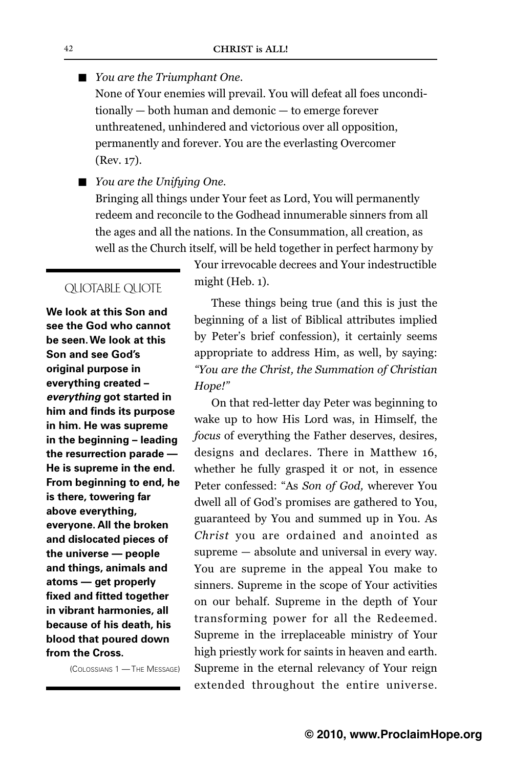■ *You are the Triumphant One.* 

None of Your enemies will prevail. You will defeat all foes unconditionally — both human and demonic — to emerge forever unthreatened, unhindered and victorious over all opposition, permanently and forever. You are the everlasting Overcomer (Rev. 17).

■ *You are the Unifying One.* 

Bringing all things under Your feet as Lord, You will permanently redeem and reconcile to the Godhead innumerable sinners from all the ages and all the nations. In the Consummation, all creation, as well as the Church itself, will be held together in perfect harmony by

#### QUOTABLE QUOTE

**We look at this Son and see the God who cannot be seen.We look at this Son and see God's original purpose in everything created –** *everything* **got started in him and finds its purpose in him. He was supreme in the beginning – leading the resurrection parade — He is supreme in the end. From beginning to end, he is there, towering far above everything, everyone. All the broken and dislocated pieces of the universe — people and things, animals and atoms — get properly fixed and fitted together in vibrant harmonies, all because of his death, his blood that poured down from the Cross.**

(COLOSSIANS 1 —THE MESSAGE)

Your irrevocable decrees and Your indestructible might (Heb. 1).

These things being true (and this is just the beginning of a list of Biblical attributes implied by Peter's brief confession), it certainly seems appropriate to address Him, as well, by saying: *"You are the Christ, the Summation of Christian Hope!"*

On that red-letter day Peter was beginning to wake up to how His Lord was, in Himself, the *focus* of everything the Father deserves, desires, designs and declares. There in Matthew 16, whether he fully grasped it or not, in essence Peter confessed: "As *Son of God,* wherever You dwell all of God's promises are gathered to You, guaranteed by You and summed up in You. As *Christ* you are ordained and anointed as supreme — absolute and universal in every way. You are supreme in the appeal You make to sinners. Supreme in the scope of Your activities on our behalf. Supreme in the depth of Your transforming power for all the Redeemed. Supreme in the irreplaceable ministry of Your high priestly work for saints in heaven and earth. Supreme in the eternal relevancy of Your reign extended throughout the entire universe.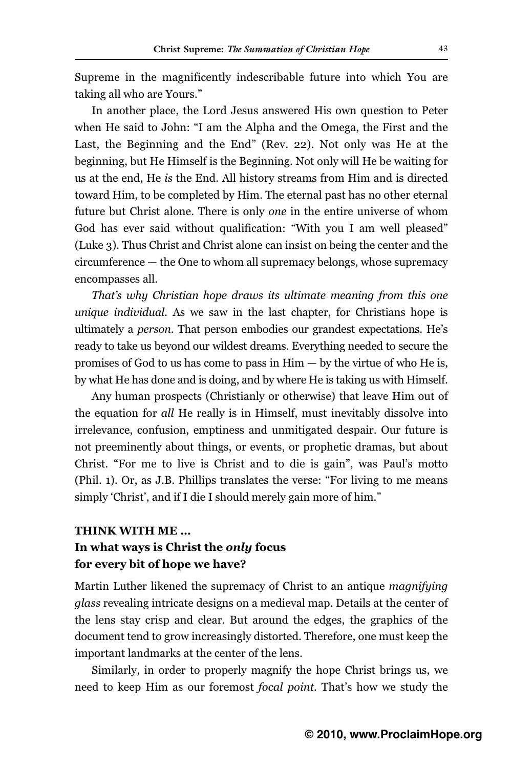Supreme in the magnificently indescribable future into which You are taking all who are Yours."

In another place, the Lord Jesus answered His own question to Peter when He said to John: "I am the Alpha and the Omega, the First and the Last, the Beginning and the End" (Rev. 22). Not only was He at the beginning, but He Himself is the Beginning. Not only will He be waiting for us at the end, He *is* the End. All history streams from Him and is directed toward Him, to be completed by Him. The eternal past has no other eternal future but Christ alone. There is only *one* in the entire universe of whom God has ever said without qualification: "With you I am well pleased" (Luke 3). Thus Christ and Christ alone can insist on being the center and the circumference — the One to whom all supremacy belongs, whose supremacy encompasses all.

*That's why Christian hope draws its ultimate meaning from this one unique individual.* As we saw in the last chapter, for Christians hope is ultimately a *person.* That person embodies our grandest expectations. He's ready to take us beyond our wildest dreams. Everything needed to secure the promises of God to us has come to pass in Him — by the virtue of who He is, by what He has done and is doing, and by where He is taking us with Himself.

Any human prospects (Christianly or otherwise) that leave Him out of the equation for *all* He really is in Himself, must inevitably dissolve into irrelevance, confusion, emptiness and unmitigated despair. Our future is not preeminently about things, or events, or prophetic dramas, but about Christ. "For me to live is Christ and to die is gain", was Paul's motto (Phil. 1). Or, as J.B. Phillips translates the verse: "For living to me means simply 'Christ', and if I die I should merely gain more of him."

#### **THINK WITH ME …**

## **In what ways is Christ the** *only* **focus for every bit of hope we have?**

Martin Luther likened the supremacy of Christ to an antique *magnifying glass* revealing intricate designs on a medieval map. Details at the center of the lens stay crisp and clear. But around the edges, the graphics of the document tend to grow increasingly distorted. Therefore, one must keep the important landmarks at the center of the lens.

Similarly, in order to properly magnify the hope Christ brings us, we need to keep Him as our foremost *focal point.* That's how we study the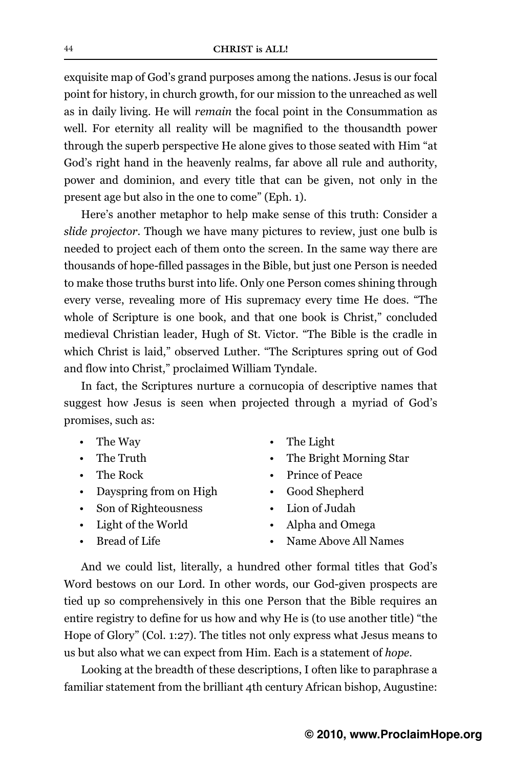exquisite map of God's grand purposes among the nations. Jesus is our focal point for history, in church growth, for our mission to the unreached as well as in daily living. He will *remain* the focal point in the Consummation as well. For eternity all reality will be magnified to the thousandth power through the superb perspective He alone gives to those seated with Him "at God's right hand in the heavenly realms, far above all rule and authority, power and dominion, and every title that can be given, not only in the present age but also in the one to come" (Eph. 1).

Here's another metaphor to help make sense of this truth: Consider a *slide projector.* Though we have many pictures to review, just one bulb is needed to project each of them onto the screen. In the same way there are thousands of hope-filled passages in the Bible, but just one Person is needed to make those truths burst into life. Only one Person comes shining through every verse, revealing more of His supremacy every time He does. "The whole of Scripture is one book, and that one book is Christ," concluded medieval Christian leader, Hugh of St. Victor. "The Bible is the cradle in which Christ is laid," observed Luther. "The Scriptures spring out of God and flow into Christ," proclaimed William Tyndale.

In fact, the Scriptures nurture a cornucopia of descriptive names that suggest how Jesus is seen when projected through a myriad of God's promises, such as:

- The Way
- The Truth
- The Rock
- Dayspring from on High
- Son of Righteousness
- Light of the World
- Bread of Life
- The Light
- The Bright Morning Star
- Prince of Peace
- Good Shepherd
- Lion of Judah
- Alpha and Omega
- Name Above All Names

And we could list, literally, a hundred other formal titles that God's Word bestows on our Lord. In other words, our God-given prospects are tied up so comprehensively in this one Person that the Bible requires an entire registry to define for us how and why He is (to use another title) "the Hope of Glory" (Col. 1:27). The titles not only express what Jesus means to us but also what we can expect from Him. Each is a statement of *hope.*

Looking at the breadth of these descriptions, I often like to paraphrase a familiar statement from the brilliant 4th century African bishop, Augustine: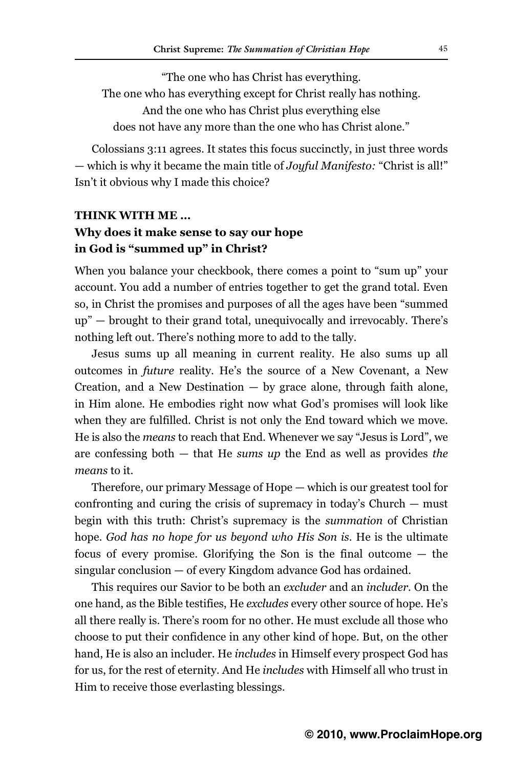"The one who has Christ has everything. The one who has everything except for Christ really has nothing. And the one who has Christ plus everything else does not have any more than the one who has Christ alone."

Colossians 3:11 agrees. It states this focus succinctly, in just three words — which is why it became the main title of *Joyful Manifesto:* "Christ is all!" Isn't it obvious why I made this choice?

### **THINK WITH ME … Why does it make sense to say our hope in God is "summed up" in Christ?**

When you balance your checkbook, there comes a point to "sum up" your account. You add a number of entries together to get the grand total. Even so, in Christ the promises and purposes of all the ages have been "summed up" — brought to their grand total, unequivocally and irrevocably. There's nothing left out. There's nothing more to add to the tally.

Jesus sums up all meaning in current reality. He also sums up all outcomes in *future* reality. He's the source of a New Covenant, a New Creation, and a New Destination — by grace alone, through faith alone, in Him alone. He embodies right now what God's promises will look like when they are fulfilled. Christ is not only the End toward which we move. He is also the *means* to reach that End. Whenever we say "Jesus is Lord", we are confessing both — that He *sums up* the End as well as provides *the means* to it.

Therefore, our primary Message of Hope — which is our greatest tool for confronting and curing the crisis of supremacy in today's Church — must begin with this truth: Christ's supremacy is the *summation* of Christian hope. *God has no hope for us beyond who His Son is.* He is the ultimate focus of every promise. Glorifying the Son is the final outcome — the singular conclusion — of every Kingdom advance God has ordained.

This requires our Savior to be both an *excluder* and an *includer.* On the one hand, as the Bible testifies, He *excludes* every other source of hope. He's all there really is. There's room for no other. He must exclude all those who choose to put their confidence in any other kind of hope. But, on the other hand, He is also an includer. He *includes* in Himself every prospect God has for us, for the rest of eternity. And He *includes* with Himself all who trust in Him to receive those everlasting blessings.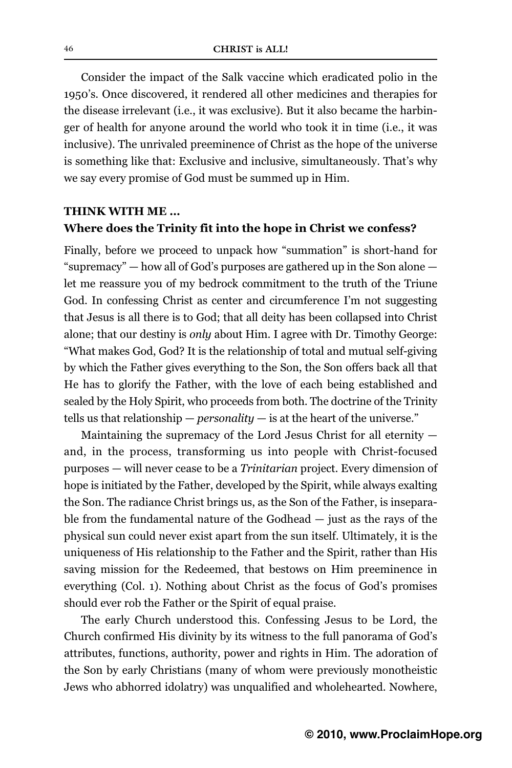Consider the impact of the Salk vaccine which eradicated polio in the 1950's. Once discovered, it rendered all other medicines and therapies for the disease irrelevant (i.e., it was exclusive). But it also became the harbinger of health for anyone around the world who took it in time (i.e., it was inclusive). The unrivaled preeminence of Christ as the hope of the universe is something like that: Exclusive and inclusive, simultaneously. That's why we say every promise of God must be summed up in Him.

### **THINK WITH ME … Where does the Trinity fit into the hope in Christ we confess?**

Finally, before we proceed to unpack how "summation" is short-hand for "supremacy" — how all of God's purposes are gathered up in the Son alone let me reassure you of my bedrock commitment to the truth of the Triune God. In confessing Christ as center and circumference I'm not suggesting that Jesus is all there is to God; that all deity has been collapsed into Christ alone; that our destiny is *only* about Him. I agree with Dr. Timothy George: "What makes God, God? It is the relationship of total and mutual self-giving by which the Father gives everything to the Son, the Son offers back all that He has to glorify the Father, with the love of each being established and sealed by the Holy Spirit, who proceeds from both. The doctrine of the Trinity tells us that relationship — *personality* — is at the heart of the universe."

Maintaining the supremacy of the Lord Jesus Christ for all eternity and, in the process, transforming us into people with Christ-focused purposes — will never cease to be a *Trinitarian* project. Every dimension of hope is initiated by the Father, developed by the Spirit, while always exalting the Son. The radiance Christ brings us, as the Son of the Father, is inseparable from the fundamental nature of the Godhead — just as the rays of the physical sun could never exist apart from the sun itself. Ultimately, it is the uniqueness of His relationship to the Father and the Spirit, rather than His saving mission for the Redeemed, that bestows on Him preeminence in everything (Col. 1). Nothing about Christ as the focus of God's promises should ever rob the Father or the Spirit of equal praise.

The early Church understood this. Confessing Jesus to be Lord, the Church confirmed His divinity by its witness to the full panorama of God's attributes, functions, authority, power and rights in Him. The adoration of the Son by early Christians (many of whom were previously monotheistic Jews who abhorred idolatry) was unqualified and wholehearted. Nowhere,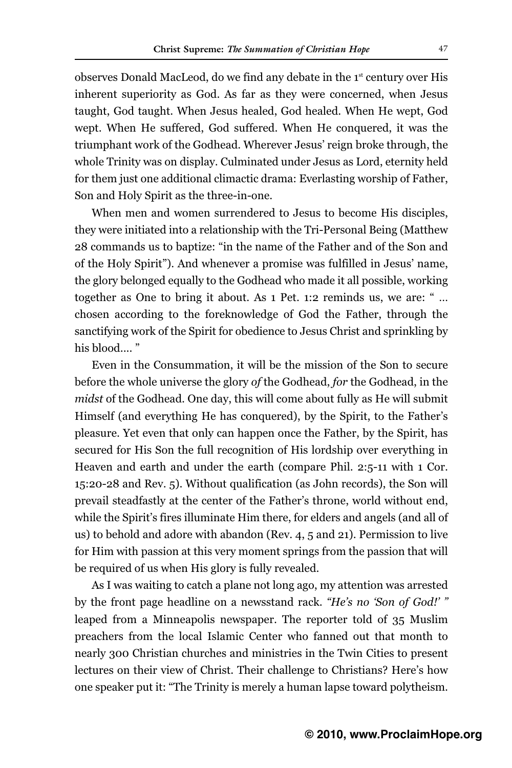observes Donald MacLeod, do we find any debate in the 1<sup>st</sup> century over His inherent superiority as God. As far as they were concerned, when Jesus taught, God taught. When Jesus healed, God healed. When He wept, God wept. When He suffered, God suffered. When He conquered, it was the triumphant work of the Godhead. Wherever Jesus' reign broke through, the whole Trinity was on display. Culminated under Jesus as Lord, eternity held for them just one additional climactic drama: Everlasting worship of Father, Son and Holy Spirit as the three-in-one.

When men and women surrendered to Jesus to become His disciples, they were initiated into a relationship with the Tri-Personal Being (Matthew 28 commands us to baptize: "in the name of the Father and of the Son and of the Holy Spirit"). And whenever a promise was fulfilled in Jesus' name, the glory belonged equally to the Godhead who made it all possible, working together as One to bring it about. As 1 Pet. 1:2 reminds us, we are: " … chosen according to the foreknowledge of God the Father, through the sanctifying work of the Spirit for obedience to Jesus Christ and sprinkling by his blood...."

Even in the Consummation, it will be the mission of the Son to secure before the whole universe the glory *of* the Godhead, *for* the Godhead, in the *midst* of the Godhead. One day, this will come about fully as He will submit Himself (and everything He has conquered), by the Spirit, to the Father's pleasure. Yet even that only can happen once the Father, by the Spirit, has secured for His Son the full recognition of His lordship over everything in Heaven and earth and under the earth (compare Phil. 2:5-11 with 1 Cor. 15:20-28 and Rev. 5). Without qualification (as John records), the Son will prevail steadfastly at the center of the Father's throne, world without end, while the Spirit's fires illuminate Him there, for elders and angels (and all of us) to behold and adore with abandon (Rev. 4, 5 and 21). Permission to live for Him with passion at this very moment springs from the passion that will be required of us when His glory is fully revealed.

As I was waiting to catch a plane not long ago, my attention was arrested by the front page headline on a newsstand rack. *"He's no 'Son of God!' "* leaped from a Minneapolis newspaper. The reporter told of 35 Muslim preachers from the local Islamic Center who fanned out that month to nearly 300 Christian churches and ministries in the Twin Cities to present lectures on their view of Christ. Their challenge to Christians? Here's how one speaker put it: "The Trinity is merely a human lapse toward polytheism.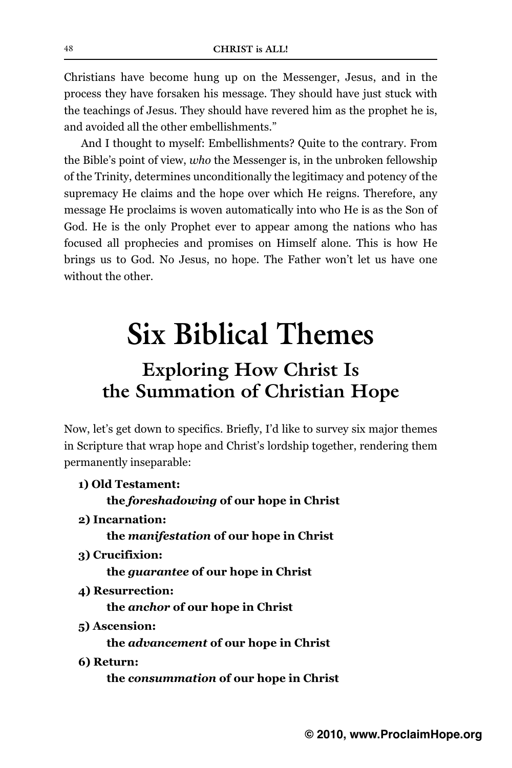Christians have become hung up on the Messenger, Jesus, and in the process they have forsaken his message. They should have just stuck with the teachings of Jesus. They should have revered him as the prophet he is, and avoided all the other embellishments."

And I thought to myself: Embellishments? Quite to the contrary. From the Bible's point of view, *who* the Messenger is, in the unbroken fellowship of the Trinity, determines unconditionally the legitimacy and potency of the supremacy He claims and the hope over which He reigns. Therefore, any message He proclaims is woven automatically into who He is as the Son of God. He is the only Prophet ever to appear among the nations who has focused all prophecies and promises on Himself alone. This is how He brings us to God. No Jesus, no hope. The Father won't let us have one without the other.

# **Six Biblical Themes**

## **Exploring How Christ Is the Summation of Christian Hope**

Now, let's get down to specifics. Briefly, I'd like to survey six major themes in Scripture that wrap hope and Christ's lordship together, rendering them permanently inseparable:

- **1) Old Testament: the** *foreshadowing* **of our hope in Christ 2) Incarnation: the** *manifestation* **of our hope in Christ 3) Crucifixion: the** *guarantee* **of our hope in Christ 4) Resurrection: the** *anchor* **of our hope in Christ 5) Ascension: the** *advancement* **of our hope in Christ**
- **6) Return:**

**the** *consummation* **of our hope in Christ**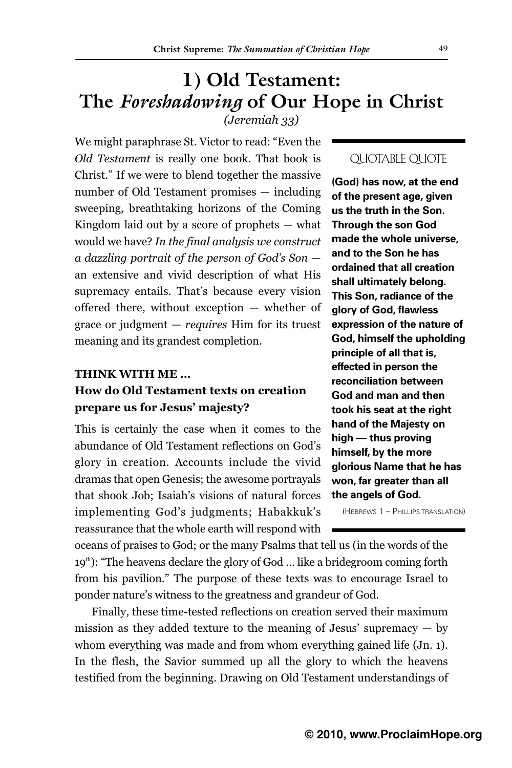## **1) Old Testament: The** *Foreshadowing* **of Our Hope in Christ** *(Jeremiah 33)*

We might paraphrase St. Victor to read: "Even the *Old Testament* is really one book. That book is Christ." If we were to blend together the massive number of Old Testament promises — including sweeping, breathtaking horizons of the Coming Kingdom laid out by a score of prophets — what would we have? *In the final analysis we construct a dazzling portrait of the person of God's Son* an extensive and vivid description of what His supremacy entails. That's because every vision offered there, without exception — whether of grace or judgment — *requires* Him for its truest meaning and its grandest completion.

#### **THINK WITH ME …**

### **How do Old Testament texts on creation prepare us for Jesus' majesty?**

This is certainly the case when it comes to the abundance of Old Testament reflections on God's glory in creation. Accounts include the vivid dramas that open Genesis; the awesome portrayals that shook Job; Isaiah's visions of natural forces implementing God's judgments; Habakkuk's reassurance that the whole earth will respond with QUOTABLE OUOTF

**(God) has now, at the end of the present age, given us the truth in the Son. Through the son God made the whole universe, and to the Son he has ordained that all creation shall ultimately belong. This Son, radiance of the glory of God, flawless expression of the nature of God, himself the upholding principle of all that is, effected in person the reconciliation between God and man and then took his seat at the right hand of the Majesty on high — thus proving himself, by the more glorious Name that he has won, far greater than all the angels of God.**

(HEBREWS 1 – PHILLIPS TRANSLATION)

oceans of praises to God; or the many Psalms that tell us (in the words of the 19<sup>th</sup>): "The heavens declare the glory of God ... like a bridegroom coming forth from his pavilion." The purpose of these texts was to encourage Israel to ponder nature's witness to the greatness and grandeur of God.

Finally, these time-tested reflections on creation served their maximum mission as they added texture to the meaning of Jesus' supremacy  $-$  by whom everything was made and from whom everything gained life (Jn. 1). In the flesh, the Savior summed up all the glory to which the heavens testified from the beginning. Drawing on Old Testament understandings of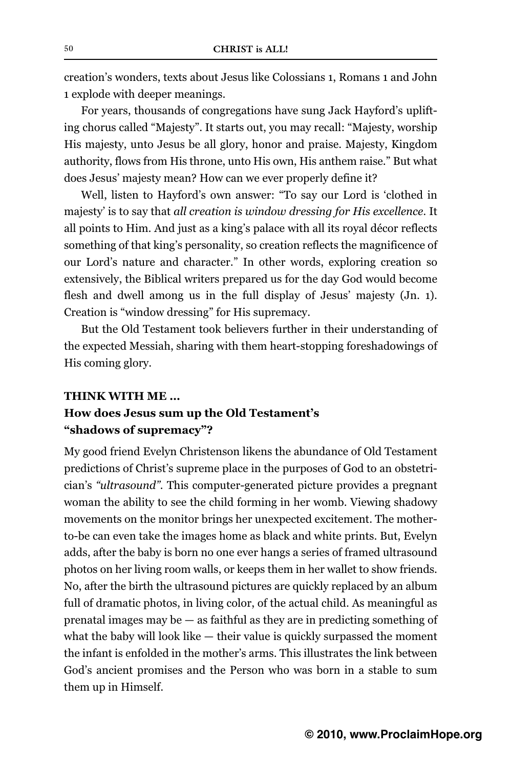creation's wonders, texts about Jesus like Colossians 1, Romans 1 and John 1 explode with deeper meanings.

For years, thousands of congregations have sung Jack Hayford's uplifting chorus called "Majesty". It starts out, you may recall: "Majesty, worship His majesty, unto Jesus be all glory, honor and praise. Majesty, Kingdom authority, flows from His throne, unto His own, His anthem raise." But what does Jesus' majesty mean? How can we ever properly define it?

Well, listen to Hayford's own answer: "To say our Lord is 'clothed in majesty' is to say that *all creation is window dressing for His excellence.* It all points to Him. And just as a king's palace with all its royal décor reflects something of that king's personality, so creation reflects the magnificence of our Lord's nature and character." In other words, exploring creation so extensively, the Biblical writers prepared us for the day God would become flesh and dwell among us in the full display of Jesus' majesty (Jn. 1). Creation is "window dressing" for His supremacy.

But the Old Testament took believers further in their understanding of the expected Messiah, sharing with them heart-stopping foreshadowings of His coming glory.

## **THINK WITH ME … How does Jesus sum up the Old Testament's "shadows of supremacy"?**

My good friend Evelyn Christenson likens the abundance of Old Testament predictions of Christ's supreme place in the purposes of God to an obstetrician's *"ultrasound".* This computer-generated picture provides a pregnant woman the ability to see the child forming in her womb. Viewing shadowy movements on the monitor brings her unexpected excitement. The motherto-be can even take the images home as black and white prints. But, Evelyn adds, after the baby is born no one ever hangs a series of framed ultrasound photos on her living room walls, or keeps them in her wallet to show friends. No, after the birth the ultrasound pictures are quickly replaced by an album full of dramatic photos, in living color, of the actual child. As meaningful as prenatal images may be — as faithful as they are in predicting something of what the baby will look like — their value is quickly surpassed the moment the infant is enfolded in the mother's arms. This illustrates the link between God's ancient promises and the Person who was born in a stable to sum them up in Himself.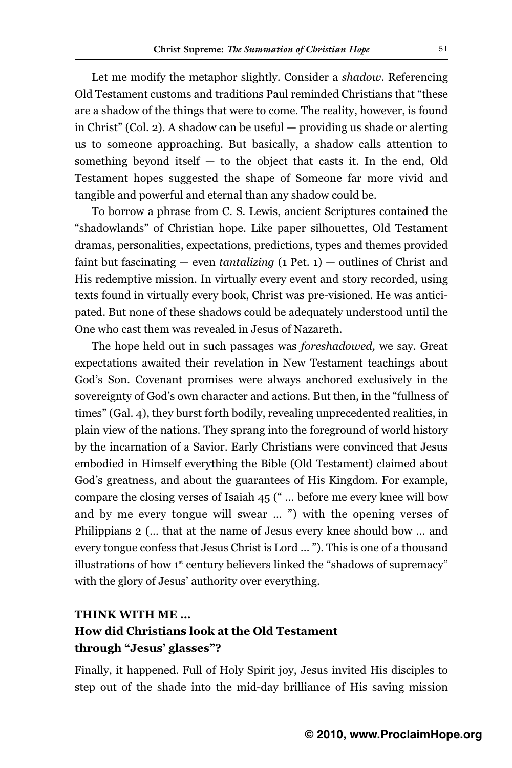Let me modify the metaphor slightly. Consider a *shadow.* Referencing Old Testament customs and traditions Paul reminded Christians that "these are a shadow of the things that were to come. The reality, however, is found in Christ" (Col. 2). A shadow can be useful — providing us shade or alerting us to someone approaching. But basically, a shadow calls attention to something beyond itself — to the object that casts it. In the end, Old Testament hopes suggested the shape of Someone far more vivid and tangible and powerful and eternal than any shadow could be.

To borrow a phrase from C. S. Lewis, ancient Scriptures contained the "shadowlands" of Christian hope. Like paper silhouettes, Old Testament dramas, personalities, expectations, predictions, types and themes provided faint but fascinating — even *tantalizing* (1 Pet. 1) — outlines of Christ and His redemptive mission. In virtually every event and story recorded, using texts found in virtually every book, Christ was pre-visioned. He was anticipated. But none of these shadows could be adequately understood until the One who cast them was revealed in Jesus of Nazareth.

The hope held out in such passages was *foreshadowed,* we say. Great expectations awaited their revelation in New Testament teachings about God's Son. Covenant promises were always anchored exclusively in the sovereignty of God's own character and actions. But then, in the "fullness of times" (Gal. 4), they burst forth bodily, revealing unprecedented realities, in plain view of the nations. They sprang into the foreground of world history by the incarnation of a Savior. Early Christians were convinced that Jesus embodied in Himself everything the Bible (Old Testament) claimed about God's greatness, and about the guarantees of His Kingdom. For example, compare the closing verses of Isaiah 45 (" … before me every knee will bow and by me every tongue will swear … ") with the opening verses of Philippians 2 (… that at the name of Jesus every knee should bow … and every tongue confess that Jesus Christ is Lord … "). This is one of a thousand illustrations of how  $1<sup>st</sup>$  century believers linked the "shadows of supremacy" with the glory of Jesus' authority over everything.

#### **THINK WITH ME …**

## **How did Christians look at the Old Testament through "Jesus' glasses"?**

Finally, it happened. Full of Holy Spirit joy, Jesus invited His disciples to step out of the shade into the mid-day brilliance of His saving mission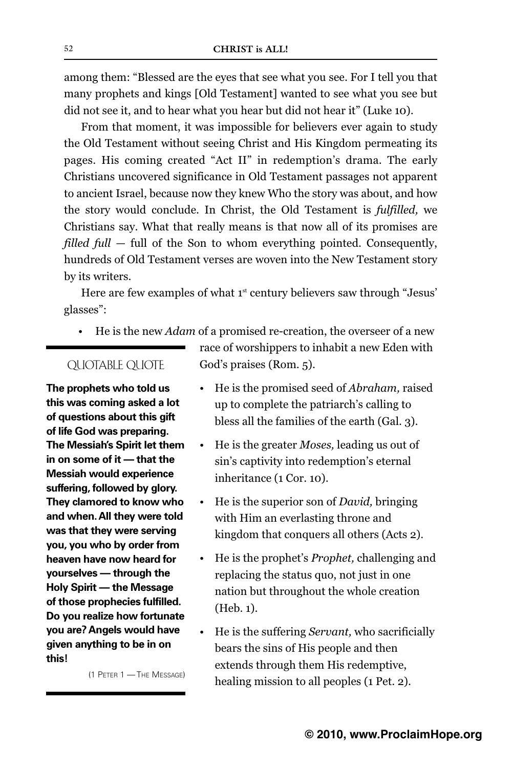among them: "Blessed are the eyes that see what you see. For I tell you that many prophets and kings [Old Testament] wanted to see what you see but did not see it, and to hear what you hear but did not hear it" (Luke 10).

From that moment, it was impossible for believers ever again to study the Old Testament without seeing Christ and His Kingdom permeating its pages. His coming created "Act II" in redemption's drama. The early Christians uncovered significance in Old Testament passages not apparent to ancient Israel, because now they knew Who the story was about, and how the story would conclude. In Christ, the Old Testament is *fulfilled,* we Christians say. What that really means is that now all of its promises are *filled full* — full of the Son to whom everything pointed. Consequently, hundreds of Old Testament verses are woven into the New Testament story by its writers.

Here are few examples of what 1<sup>st</sup> century believers saw through "Jesus' glasses":

• He is the new *Adam* of a promised re-creation, the overseer of a new

#### QUOTABLE QUOTE

**The prophets who told us this was coming asked a lot of questions about this gift of life God was preparing. The Messiah's Spirit let them in on some of it — that the Messiah would experience suffering, followed by glory. They clamored to know who and when.All they were told was that they were serving you, you who by order from heaven have now heard for yourselves — through the Holy Spirit — the Message of those prophecies fulfilled. Do you realize how fortunate you are?Angels would have given anything to be in on this!**

race of worshippers to inhabit a new Eden with God's praises (Rom. 5).

- He is the promised seed of *Abraham,* raised up to complete the patriarch's calling to bless all the families of the earth (Gal. 3).
- He is the greater *Moses,* leading us out of sin's captivity into redemption's eternal inheritance (1 Cor. 10).
- He is the superior son of *David,* bringing with Him an everlasting throne and kingdom that conquers all others (Acts 2).
- He is the prophet's *Prophet,* challenging and replacing the status quo, not just in one nation but throughout the whole creation (Heb. 1).
- He is the suffering *Servant,* who sacrificially bears the sins of His people and then extends through them His redemptive, healing mission to all peoples (1 Pet. 2).

(1 PETER 1 —THE MESSAGE)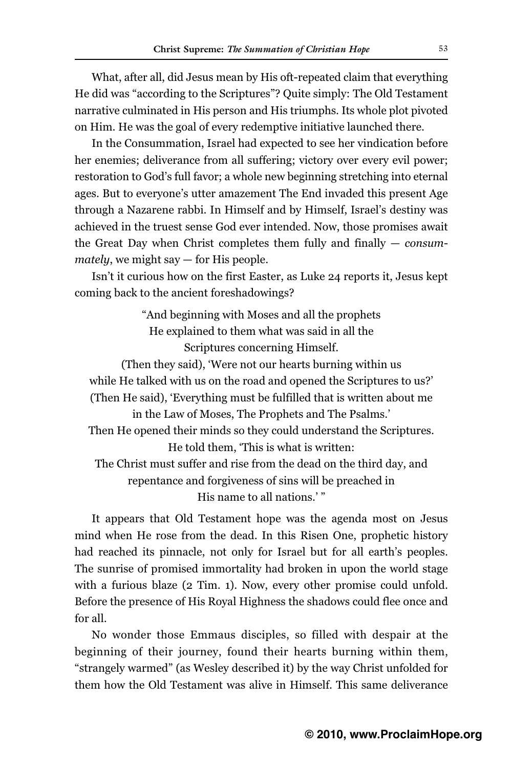What, after all, did Jesus mean by His oft-repeated claim that everything He did was "according to the Scriptures"? Quite simply: The Old Testament narrative culminated in His person and His triumphs. Its whole plot pivoted on Him. He was the goal of every redemptive initiative launched there.

In the Consummation, Israel had expected to see her vindication before her enemies; deliverance from all suffering; victory over every evil power; restoration to God's full favor; a whole new beginning stretching into eternal ages. But to everyone's utter amazement The End invaded this present Age through a Nazarene rabbi. In Himself and by Himself, Israel's destiny was achieved in the truest sense God ever intended. Now, those promises await the Great Day when Christ completes them fully and finally — *consummately*, we might say — for His people.

Isn't it curious how on the first Easter, as Luke 24 reports it, Jesus kept coming back to the ancient foreshadowings?

> "And beginning with Moses and all the prophets He explained to them what was said in all the Scriptures concerning Himself.

(Then they said), 'Were not our hearts burning within us while He talked with us on the road and opened the Scriptures to us?' (Then He said), 'Everything must be fulfilled that is written about me in the Law of Moses, The Prophets and The Psalms.' Then He opened their minds so they could understand the Scriptures. He told them, 'This is what is written: The Christ must suffer and rise from the dead on the third day, and repentance and forgiveness of sins will be preached in

His name to all nations.' "

It appears that Old Testament hope was the agenda most on Jesus mind when He rose from the dead. In this Risen One, prophetic history had reached its pinnacle, not only for Israel but for all earth's peoples. The sunrise of promised immortality had broken in upon the world stage with a furious blaze (2 Tim. 1). Now, every other promise could unfold. Before the presence of His Royal Highness the shadows could flee once and for all.

No wonder those Emmaus disciples, so filled with despair at the beginning of their journey, found their hearts burning within them, "strangely warmed" (as Wesley described it) by the way Christ unfolded for them how the Old Testament was alive in Himself. This same deliverance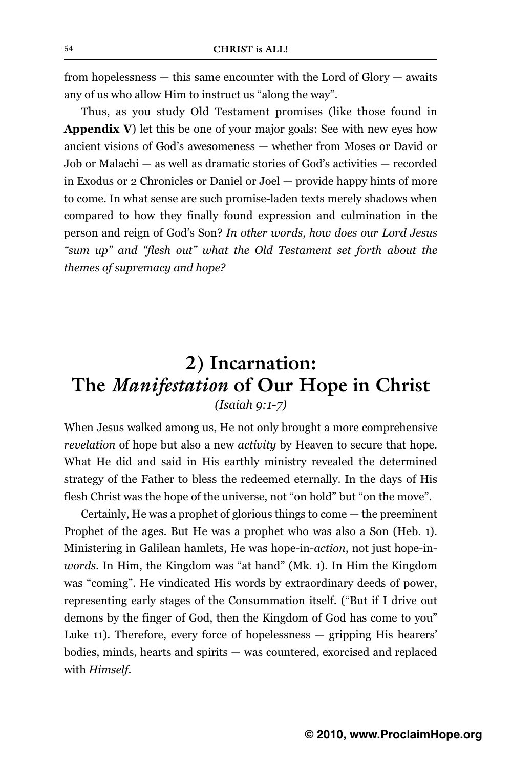from hopelessness — this same encounter with the Lord of Glory — awaits any of us who allow Him to instruct us "along the way".

Thus, as you study Old Testament promises (like those found in **Appendix V**) let this be one of your major goals: See with new eyes how ancient visions of God's awesomeness — whether from Moses or David or Job or Malachi — as well as dramatic stories of God's activities — recorded in Exodus or 2 Chronicles or Daniel or Joel — provide happy hints of more to come. In what sense are such promise-laden texts merely shadows when compared to how they finally found expression and culmination in the person and reign of God's Son? *In other words, how does our Lord Jesus "sum up" and "flesh out" what the Old Testament set forth about the themes of supremacy and hope?*

## **2) Incarnation: The** *Manifestation* **of Our Hope in Christ** *(Isaiah 9:1-7)*

When Jesus walked among us, He not only brought a more comprehensive *revelation* of hope but also a new *activity* by Heaven to secure that hope. What He did and said in His earthly ministry revealed the determined strategy of the Father to bless the redeemed eternally. In the days of His flesh Christ was the hope of the universe, not "on hold" but "on the move".

Certainly, He was a prophet of glorious things to come — the preeminent Prophet of the ages. But He was a prophet who was also a Son (Heb. 1). Ministering in Galilean hamlets, He was hope-in-*action*, not just hope-in*words*. In Him, the Kingdom was "at hand" (Mk. 1). In Him the Kingdom was "coming". He vindicated His words by extraordinary deeds of power, representing early stages of the Consummation itself. ("But if I drive out demons by the finger of God, then the Kingdom of God has come to you" Luke 11). Therefore, every force of hopelessness — gripping His hearers' bodies, minds, hearts and spirits — was countered, exorcised and replaced with *Himself*.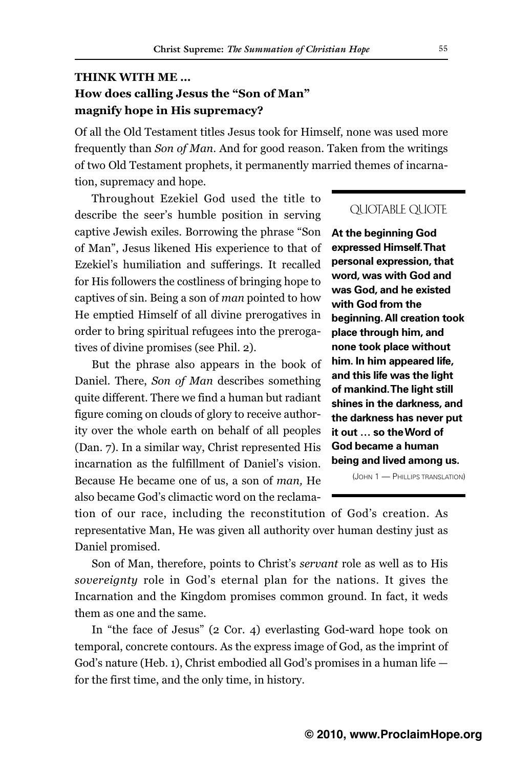## **THINK WITH ME … How does calling Jesus the "Son of Man" magnify hope in His supremacy?**

Of all the Old Testament titles Jesus took for Himself, none was used more frequently than *Son of Man*. And for good reason. Taken from the writings of two Old Testament prophets, it permanently married themes of incarnation, supremacy and hope.

Throughout Ezekiel God used the title to describe the seer's humble position in serving captive Jewish exiles. Borrowing the phrase "Son of Man", Jesus likened His experience to that of Ezekiel's humiliation and sufferings. It recalled for His followers the costliness of bringing hope to captives of sin. Being a son of *man* pointed to how He emptied Himself of all divine prerogatives in order to bring spiritual refugees into the prerogatives of divine promises (see Phil. 2).

But the phrase also appears in the book of Daniel. There, *Son of Man* describes something quite different. There we find a human but radiant figure coming on clouds of glory to receive authority over the whole earth on behalf of all peoples (Dan. 7). In a similar way, Christ represented His incarnation as the fulfillment of Daniel's vision. Because He became one of us, a son of *man,* He also became God's climactic word on the reclama-

#### QUOTABLE QUOTE

**At the beginning God expressed Himself.That personal expression, that word, was with God and was God, and he existed with God from the beginning.All creation took place through him, and none took place without him. In him appeared life, and this life was the light of mankind.The light still shines in the darkness, and the darkness has never put it out … so theWord of God became a human being and lived among us.**

(JOHN 1 — PHILLIPS TRANSLATION)

tion of our race, including the reconstitution of God's creation. As representative Man, He was given all authority over human destiny just as Daniel promised.

Son of Man, therefore, points to Christ's *servant* role as well as to His *sovereignty* role in God's eternal plan for the nations. It gives the Incarnation and the Kingdom promises common ground. In fact, it weds them as one and the same.

In "the face of Jesus" (2 Cor. 4) everlasting God-ward hope took on temporal, concrete contours. As the express image of God, as the imprint of God's nature (Heb. 1), Christ embodied all God's promises in a human life for the first time, and the only time, in history.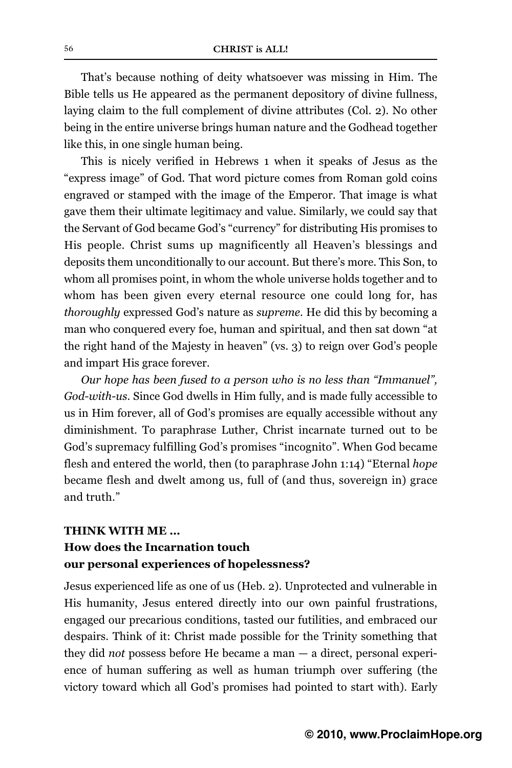That's because nothing of deity whatsoever was missing in Him. The Bible tells us He appeared as the permanent depository of divine fullness, laying claim to the full complement of divine attributes (Col. 2). No other being in the entire universe brings human nature and the Godhead together like this, in one single human being.

This is nicely verified in Hebrews 1 when it speaks of Jesus as the "express image" of God. That word picture comes from Roman gold coins engraved or stamped with the image of the Emperor. That image is what gave them their ultimate legitimacy and value. Similarly, we could say that the Servant of God became God's "currency" for distributing His promises to His people. Christ sums up magnificently all Heaven's blessings and deposits them unconditionally to our account. But there's more. This Son, to whom all promises point, in whom the whole universe holds together and to whom has been given every eternal resource one could long for, has *thoroughly* expressed God's nature as *supreme.* He did this by becoming a man who conquered every foe, human and spiritual, and then sat down "at the right hand of the Majesty in heaven" (vs. 3) to reign over God's people and impart His grace forever.

*Our hope has been fused to a person who is no less than "Immanuel", God-with-us.* Since God dwells in Him fully, and is made fully accessible to us in Him forever, all of God's promises are equally accessible without any diminishment. To paraphrase Luther, Christ incarnate turned out to be God's supremacy fulfilling God's promises "incognito". When God became flesh and entered the world, then (to paraphrase John 1:14) "Eternal *hope* became flesh and dwelt among us, full of (and thus, sovereign in) grace and truth."

## **THINK WITH ME … How does the Incarnation touch our personal experiences of hopelessness?**

Jesus experienced life as one of us (Heb. 2). Unprotected and vulnerable in His humanity, Jesus entered directly into our own painful frustrations, engaged our precarious conditions, tasted our futilities, and embraced our despairs. Think of it: Christ made possible for the Trinity something that they did *not* possess before He became a man — a direct, personal experience of human suffering as well as human triumph over suffering (the victory toward which all God's promises had pointed to start with). Early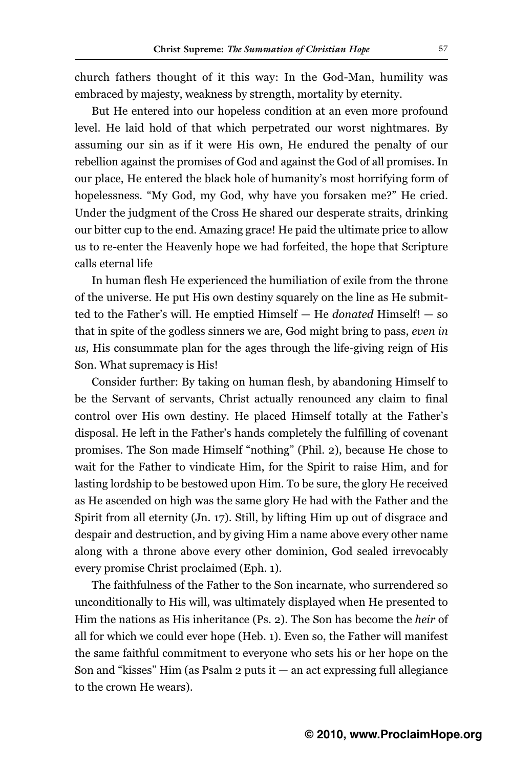church fathers thought of it this way: In the God-Man, humility was embraced by majesty, weakness by strength, mortality by eternity.

But He entered into our hopeless condition at an even more profound level. He laid hold of that which perpetrated our worst nightmares. By assuming our sin as if it were His own, He endured the penalty of our rebellion against the promises of God and against the God of all promises. In our place, He entered the black hole of humanity's most horrifying form of hopelessness. "My God, my God, why have you forsaken me?" He cried. Under the judgment of the Cross He shared our desperate straits, drinking our bitter cup to the end. Amazing grace! He paid the ultimate price to allow us to re-enter the Heavenly hope we had forfeited, the hope that Scripture calls eternal life

In human flesh He experienced the humiliation of exile from the throne of the universe. He put His own destiny squarely on the line as He submitted to the Father's will. He emptied Himself — He *donated* Himself! — so that in spite of the godless sinners we are, God might bring to pass, *even in us,* His consummate plan for the ages through the life-giving reign of His Son. What supremacy is His!

Consider further: By taking on human flesh, by abandoning Himself to be the Servant of servants, Christ actually renounced any claim to final control over His own destiny. He placed Himself totally at the Father's disposal. He left in the Father's hands completely the fulfilling of covenant promises. The Son made Himself "nothing" (Phil. 2), because He chose to wait for the Father to vindicate Him, for the Spirit to raise Him, and for lasting lordship to be bestowed upon Him. To be sure, the glory He received as He ascended on high was the same glory He had with the Father and the Spirit from all eternity (Jn. 17). Still, by lifting Him up out of disgrace and despair and destruction, and by giving Him a name above every other name along with a throne above every other dominion, God sealed irrevocably every promise Christ proclaimed (Eph. 1).

The faithfulness of the Father to the Son incarnate, who surrendered so unconditionally to His will, was ultimately displayed when He presented to Him the nations as His inheritance (Ps. 2). The Son has become the *heir* of all for which we could ever hope (Heb. 1). Even so, the Father will manifest the same faithful commitment to everyone who sets his or her hope on the Son and "kisses" Him (as Psalm 2 puts it — an act expressing full allegiance to the crown He wears).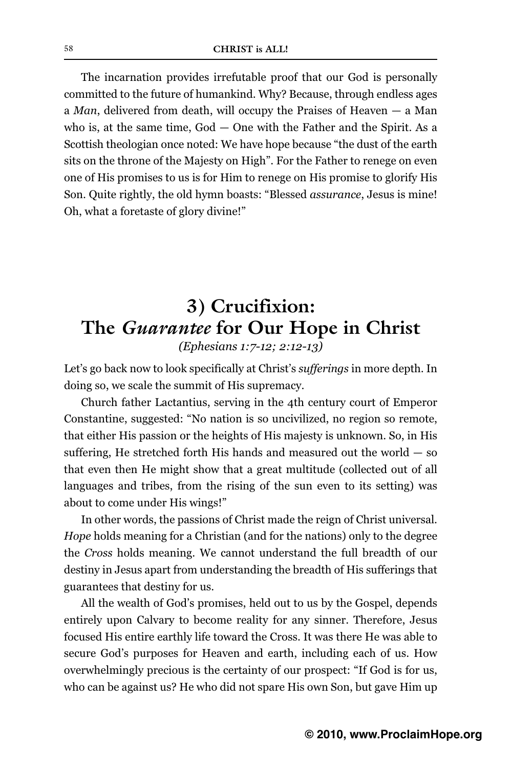The incarnation provides irrefutable proof that our God is personally committed to the future of humankind. Why? Because, through endless ages a *Man*, delivered from death, will occupy the Praises of Heaven — a Man who is, at the same time,  $God - One$  with the Father and the Spirit. As a Scottish theologian once noted: We have hope because "the dust of the earth sits on the throne of the Majesty on High". For the Father to renege on even one of His promises to us is for Him to renege on His promise to glorify His Son. Quite rightly, the old hymn boasts: "Blessed *assurance*, Jesus is mine! Oh, what a foretaste of glory divine!"

## **3) Crucifixion: The** *Guarantee* **for Our Hope in Christ**

*(Ephesians 1:7-12; 2:12-13)*

Let's go back now to look specifically at Christ's *sufferings* in more depth. In doing so, we scale the summit of His supremacy.

Church father Lactantius, serving in the 4th century court of Emperor Constantine, suggested: "No nation is so uncivilized, no region so remote, that either His passion or the heights of His majesty is unknown. So, in His suffering, He stretched forth His hands and measured out the world — so that even then He might show that a great multitude (collected out of all languages and tribes, from the rising of the sun even to its setting) was about to come under His wings!"

In other words, the passions of Christ made the reign of Christ universal. *Hope* holds meaning for a Christian (and for the nations) only to the degree the *Cross* holds meaning. We cannot understand the full breadth of our destiny in Jesus apart from understanding the breadth of His sufferings that guarantees that destiny for us.

All the wealth of God's promises, held out to us by the Gospel, depends entirely upon Calvary to become reality for any sinner. Therefore, Jesus focused His entire earthly life toward the Cross. It was there He was able to secure God's purposes for Heaven and earth, including each of us. How overwhelmingly precious is the certainty of our prospect: "If God is for us, who can be against us? He who did not spare His own Son, but gave Him up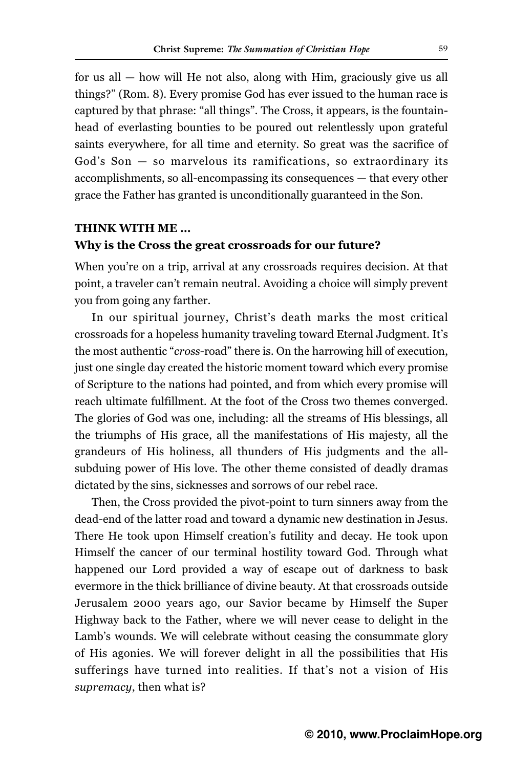for us all — how will He not also, along with Him, graciously give us all things?" (Rom. 8). Every promise God has ever issued to the human race is captured by that phrase: "all things". The Cross, it appears, is the fountainhead of everlasting bounties to be poured out relentlessly upon grateful saints everywhere, for all time and eternity. So great was the sacrifice of God's Son — so marvelous its ramifications, so extraordinary its accomplishments, so all-encompassing its consequences — that every other grace the Father has granted is unconditionally guaranteed in the Son.

#### **THINK WITH ME … Why is the Cross the great crossroads for our future?**

When you're on a trip, arrival at any crossroads requires decision. At that point, a traveler can't remain neutral. Avoiding a choice will simply prevent you from going any farther.

In our spiritual journey, Christ's death marks the most critical crossroads for a hopeless humanity traveling toward Eternal Judgment. It's the most authentic "*cross*-road" there is. On the harrowing hill of execution, just one single day created the historic moment toward which every promise of Scripture to the nations had pointed, and from which every promise will reach ultimate fulfillment. At the foot of the Cross two themes converged. The glories of God was one, including: all the streams of His blessings, all the triumphs of His grace, all the manifestations of His majesty, all the grandeurs of His holiness, all thunders of His judgments and the allsubduing power of His love. The other theme consisted of deadly dramas dictated by the sins, sicknesses and sorrows of our rebel race.

Then, the Cross provided the pivot-point to turn sinners away from the dead-end of the latter road and toward a dynamic new destination in Jesus. There He took upon Himself creation's futility and decay. He took upon Himself the cancer of our terminal hostility toward God. Through what happened our Lord provided a way of escape out of darkness to bask evermore in the thick brilliance of divine beauty. At that crossroads outside Jerusalem 2000 years ago, our Savior became by Himself the Super Highway back to the Father, where we will never cease to delight in the Lamb's wounds. We will celebrate without ceasing the consummate glory of His agonies. We will forever delight in all the possibilities that His sufferings have turned into realities. If that's not a vision of His *supremacy*, then what is?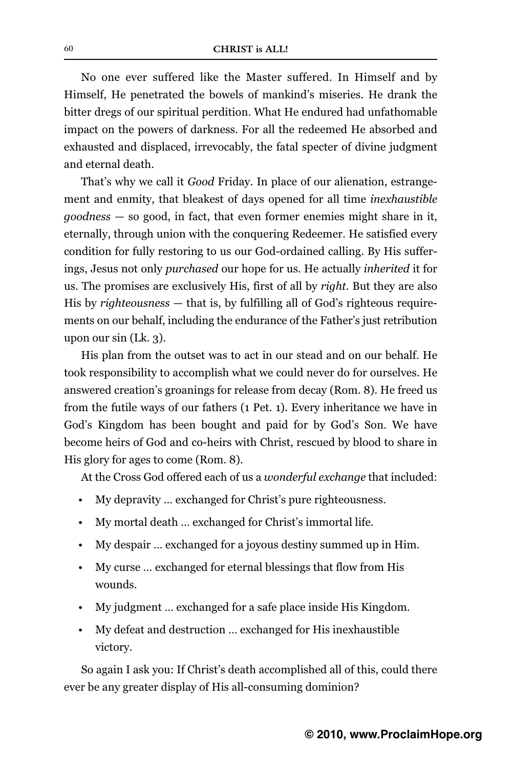No one ever suffered like the Master suffered. In Himself and by Himself, He penetrated the bowels of mankind's miseries. He drank the bitter dregs of our spiritual perdition. What He endured had unfathomable impact on the powers of darkness. For all the redeemed He absorbed and exhausted and displaced, irrevocably, the fatal specter of divine judgment and eternal death.

That's why we call it *Good* Friday. In place of our alienation, estrangement and enmity, that bleakest of days opened for all time *inexhaustible goodness* — so good, in fact, that even former enemies might share in it, eternally, through union with the conquering Redeemer. He satisfied every condition for fully restoring to us our God-ordained calling. By His sufferings, Jesus not only *purchased* our hope for us. He actually *inherited* it for us. The promises are exclusively His, first of all by *right.* But they are also His by *righteousness* — that is, by fulfilling all of God's righteous requirements on our behalf, including the endurance of the Father's just retribution upon our sin (Lk. 3).

His plan from the outset was to act in our stead and on our behalf. He took responsibility to accomplish what we could never do for ourselves. He answered creation's groanings for release from decay (Rom. 8). He freed us from the futile ways of our fathers (1 Pet. 1). Every inheritance we have in God's Kingdom has been bought and paid for by God's Son. We have become heirs of God and co-heirs with Christ, rescued by blood to share in His glory for ages to come (Rom. 8).

At the Cross God offered each of us a *wonderful exchange* that included:

- My depravity … exchanged for Christ's pure righteousness.
- My mortal death … exchanged for Christ's immortal life.
- My despair … exchanged for a joyous destiny summed up in Him.
- My curse … exchanged for eternal blessings that flow from His wounds.
- My judgment … exchanged for a safe place inside His Kingdom.
- My defeat and destruction … exchanged for His inexhaustible victory.

So again I ask you: If Christ's death accomplished all of this, could there ever be any greater display of His all-consuming dominion?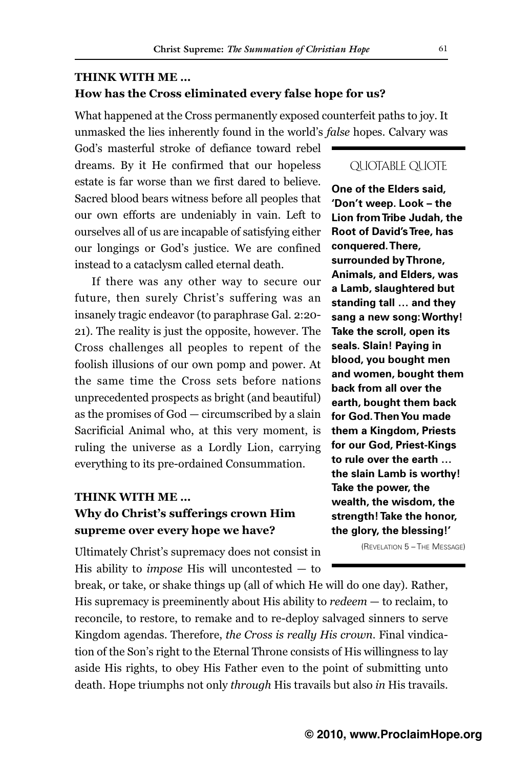### **THINK WITH ME … How has the Cross eliminated every false hope for us?**

What happened at the Cross permanently exposed counterfeit paths to joy. It unmasked the lies inherently found in the world's *false* hopes. Calvary was

God's masterful stroke of defiance toward rebel dreams. By it He confirmed that our hopeless estate is far worse than we first dared to believe. Sacred blood bears witness before all peoples that our own efforts are undeniably in vain. Left to ourselves all of us are incapable of satisfying either our longings or God's justice. We are confined instead to a cataclysm called eternal death.

If there was any other way to secure our future, then surely Christ's suffering was an insanely tragic endeavor (to paraphrase Gal. 2:20- 21). The reality is just the opposite, however. The Cross challenges all peoples to repent of the foolish illusions of our own pomp and power. At the same time the Cross sets before nations unprecedented prospects as bright (and beautiful) as the promises of God — circumscribed by a slain Sacrificial Animal who, at this very moment, is ruling the universe as a Lordly Lion, carrying everything to its pre-ordained Consummation.

#### **THINK WITH ME …**

### **Why do Christ's sufferings crown Him supreme over every hope we have?**

Ultimately Christ's supremacy does not consist in His ability to *impose* His will uncontested — to

break, or take, or shake things up (all of which He will do one day). Rather, His supremacy is preeminently about His ability to *redeem* — to reclaim, to reconcile, to restore, to remake and to re-deploy salvaged sinners to serve Kingdom agendas. Therefore, *the Cross is really His crown.* Final vindication of the Son's right to the Eternal Throne consists of His willingness to lay aside His rights, to obey His Father even to the point of submitting unto death. Hope triumphs not only *through* His travails but also *in* His travails.

#### QUOTABLE QUOTE

**One of the Elders said, 'Don't weep. Look – the Lion fromTribe Judah, the Root of David'sTree, has conquered.There, surrounded byThrone, Animals, and Elders, was a Lamb, slaughtered but standing tall … and they sang a new song:Worthy! Take the scroll, open its seals. Slain! Paying in blood, you bought men and women, bought them back from all over the earth, bought them back for God.ThenYou made them a Kingdom, Priests for our God, Priest-Kings to rule over the earth … the slain Lamb is worthy! Take the power, the wealth, the wisdom, the strength!Take the honor, the glory, the blessing!'**

(REVELATION 5 – THE MESSAGE)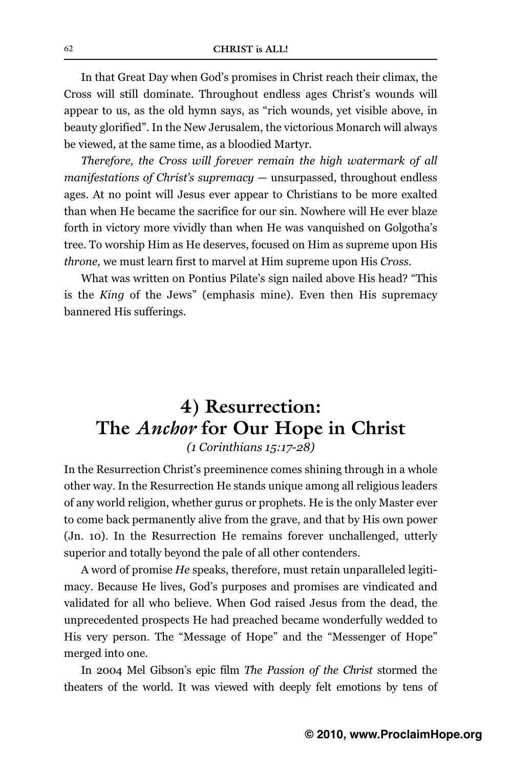In that Great Day when God's promises in Christ reach their climax, the Cross will still dominate. Throughout endless ages Christ's wounds will appear to us, as the old hymn says, as "rich wounds, yet visible above, in beauty glorified". In the New Jerusalem, the victorious Monarch will always be viewed, at the same time, as a bloodied Martyr.

*Therefore, the Cross will forever remain the high watermark of all manifestations of Christ's supremacy* — unsurpassed, throughout endless ages. At no point will Jesus ever appear to Christians to be more exalted than when He became the sacrifice for our sin. Nowhere will He ever blaze forth in victory more vividly than when He was vanquished on Golgotha's tree. To worship Him as He deserves, focused on Him as supreme upon His *throne,* we must learn first to marvel at Him supreme upon His *Cross.*

What was written on Pontius Pilate's sign nailed above His head? "This is the *King* of the Jews" (emphasis mine). Even then His supremacy bannered His sufferings.

## **4) Resurrection: The** *Anchor* **for Our Hope in Christ** *(1 Corinthians 15:17-28)*

In the Resurrection Christ's preeminence comes shining through in a whole other way. In the Resurrection He stands unique among all religious leaders of any world religion, whether gurus or prophets. He is the only Master ever to come back permanently alive from the grave, and that by His own power (Jn. 10). In the Resurrection He remains forever unchallenged, utterly superior and totally beyond the pale of all other contenders.

A word of promise *He* speaks, therefore, must retain unparalleled legitimacy. Because He lives, God's purposes and promises are vindicated and validated for all who believe. When God raised Jesus from the dead, the unprecedented prospects He had preached became wonderfully wedded to His very person. The "Message of Hope" and the "Messenger of Hope" merged into one.

In 2004 Mel Gibson's epic film *The Passion of the Christ* stormed the theaters of the world. It was viewed with deeply felt emotions by tens of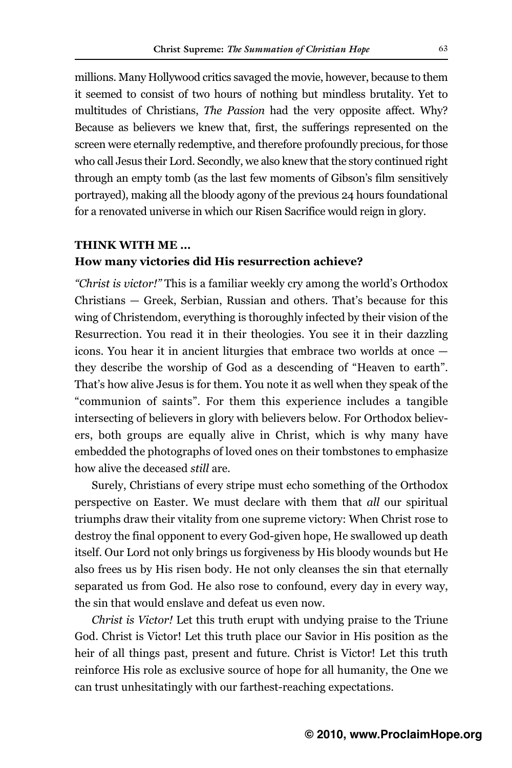millions. Many Hollywood critics savaged the movie, however, because to them it seemed to consist of two hours of nothing but mindless brutality. Yet to multitudes of Christians, *The Passion* had the very opposite affect. Why? Because as believers we knew that, first, the sufferings represented on the screen were eternally redemptive, and therefore profoundly precious, for those who call Jesus their Lord. Secondly, we also knew that the story continued right through an empty tomb (as the last few moments of Gibson's film sensitively portrayed), making all the bloody agony of the previous 24 hours foundational for a renovated universe in which our Risen Sacrifice would reign in glory.

## **THINK WITH ME … How many victories did His resurrection achieve?**

*"Christ is victor!"* This is a familiar weekly cry among the world's Orthodox Christians — Greek, Serbian, Russian and others. That's because for this wing of Christendom, everything is thoroughly infected by their vision of the Resurrection. You read it in their theologies. You see it in their dazzling icons. You hear it in ancient liturgies that embrace two worlds at once they describe the worship of God as a descending of "Heaven to earth". That's how alive Jesus is for them. You note it as well when they speak of the "communion of saints". For them this experience includes a tangible intersecting of believers in glory with believers below. For Orthodox believers, both groups are equally alive in Christ, which is why many have embedded the photographs of loved ones on their tombstones to emphasize how alive the deceased *still* are.

Surely, Christians of every stripe must echo something of the Orthodox perspective on Easter. We must declare with them that *all* our spiritual triumphs draw their vitality from one supreme victory: When Christ rose to destroy the final opponent to every God-given hope, He swallowed up death itself. Our Lord not only brings us forgiveness by His bloody wounds but He also frees us by His risen body. He not only cleanses the sin that eternally separated us from God. He also rose to confound, every day in every way, the sin that would enslave and defeat us even now.

*Christ is Victor!* Let this truth erupt with undying praise to the Triune God. Christ is Victor! Let this truth place our Savior in His position as the heir of all things past, present and future. Christ is Victor! Let this truth reinforce His role as exclusive source of hope for all humanity, the One we can trust unhesitatingly with our farthest-reaching expectations.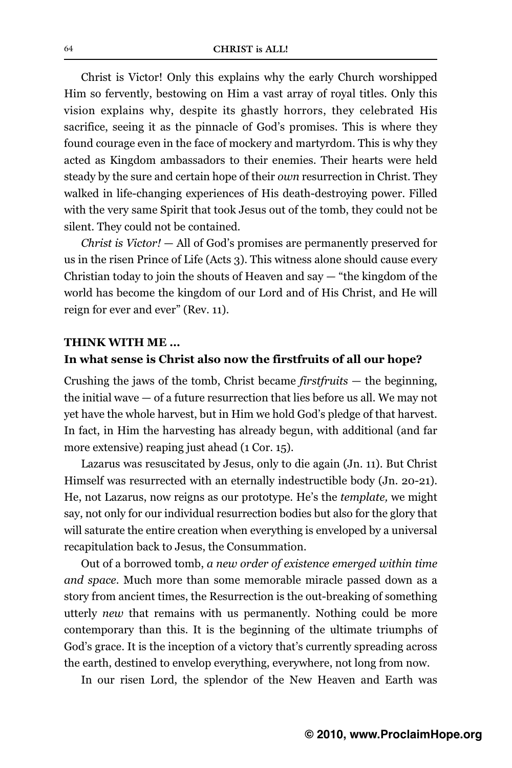Christ is Victor! Only this explains why the early Church worshipped Him so fervently, bestowing on Him a vast array of royal titles. Only this vision explains why, despite its ghastly horrors, they celebrated His sacrifice, seeing it as the pinnacle of God's promises. This is where they found courage even in the face of mockery and martyrdom. This is why they acted as Kingdom ambassadors to their enemies. Their hearts were held steady by the sure and certain hope of their *own* resurrection in Christ. They walked in life-changing experiences of His death-destroying power. Filled with the very same Spirit that took Jesus out of the tomb, they could not be silent. They could not be contained.

*Christ is Victor!* — All of God's promises are permanently preserved for us in the risen Prince of Life (Acts 3). This witness alone should cause every Christian today to join the shouts of Heaven and say  $-$  "the kingdom of the world has become the kingdom of our Lord and of His Christ, and He will reign for ever and ever" (Rev. 11).

#### **THINK WITH ME …**

#### **In what sense is Christ also now the firstfruits of all our hope?**

Crushing the jaws of the tomb, Christ became *firstfruits* — the beginning, the initial wave — of a future resurrection that lies before us all. We may not yet have the whole harvest, but in Him we hold God's pledge of that harvest. In fact, in Him the harvesting has already begun, with additional (and far more extensive) reaping just ahead (1 Cor. 15).

Lazarus was resuscitated by Jesus, only to die again (Jn. 11). But Christ Himself was resurrected with an eternally indestructible body (Jn. 20-21). He, not Lazarus, now reigns as our prototype. He's the *template,* we might say, not only for our individual resurrection bodies but also for the glory that will saturate the entire creation when everything is enveloped by a universal recapitulation back to Jesus, the Consummation.

Out of a borrowed tomb, *a new order of existence emerged within time and space.* Much more than some memorable miracle passed down as a story from ancient times, the Resurrection is the out-breaking of something utterly *new* that remains with us permanently. Nothing could be more contemporary than this. It is the beginning of the ultimate triumphs of God's grace. It is the inception of a victory that's currently spreading across the earth, destined to envelop everything, everywhere, not long from now.

In our risen Lord, the splendor of the New Heaven and Earth was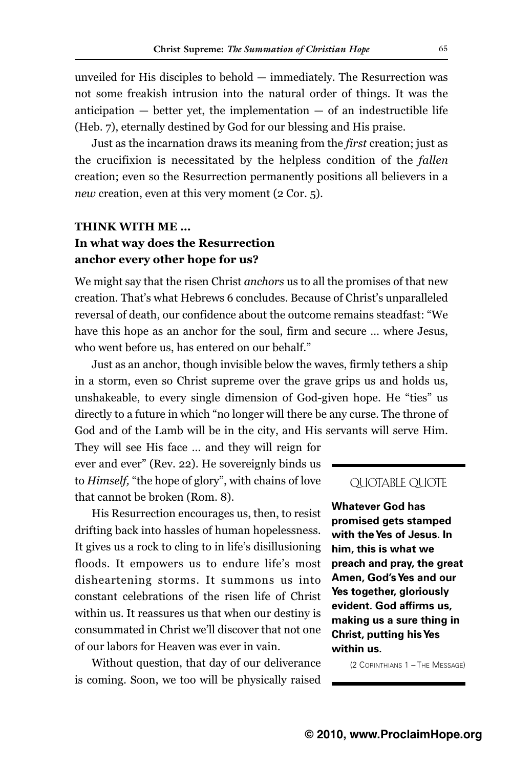unveiled for His disciples to behold — immediately. The Resurrection was not some freakish intrusion into the natural order of things. It was the anticipation  $-$  better yet, the implementation  $-$  of an indestructible life (Heb. 7), eternally destined by God for our blessing and His praise.

Just as the incarnation draws its meaning from the *first* creation; just as the crucifixion is necessitated by the helpless condition of the *fallen* creation; even so the Resurrection permanently positions all believers in a *new* creation, even at this very moment (2 Cor. 5).

## **THINK WITH ME … In what way does the Resurrection anchor every other hope for us?**

We might say that the risen Christ *anchors* us to all the promises of that new creation. That's what Hebrews 6 concludes. Because of Christ's unparalleled reversal of death, our confidence about the outcome remains steadfast: "We have this hope as an anchor for the soul, firm and secure … where Jesus, who went before us, has entered on our behalf."

Just as an anchor, though invisible below the waves, firmly tethers a ship in a storm, even so Christ supreme over the grave grips us and holds us, unshakeable, to every single dimension of God-given hope. He "ties" us directly to a future in which "no longer will there be any curse. The throne of God and of the Lamb will be in the city, and His servants will serve Him.

They will see His face … and they will reign for ever and ever" (Rev. 22). He sovereignly binds us to *Himself,* "the hope of glory", with chains of love that cannot be broken (Rom. 8).

His Resurrection encourages us, then, to resist drifting back into hassles of human hopelessness. It gives us a rock to cling to in life's disillusioning floods. It empowers us to endure life's most disheartening storms. It summons us into constant celebrations of the risen life of Christ within us. It reassures us that when our destiny is consummated in Christ we'll discover that not one of our labors for Heaven was ever in vain.

Without question, that day of our deliverance is coming. Soon, we too will be physically raised

#### QUOTABLE QUOTE

**Whatever God has promised gets stamped with theYes of Jesus. In him, this is what we preach and pray, the great Amen, God'sYes and our Yes together, gloriously evident. God affirms us, making us a sure thing in Christ, putting hisYes within us.**

(2 CORINTHIANS 1 – THE MESSAGE)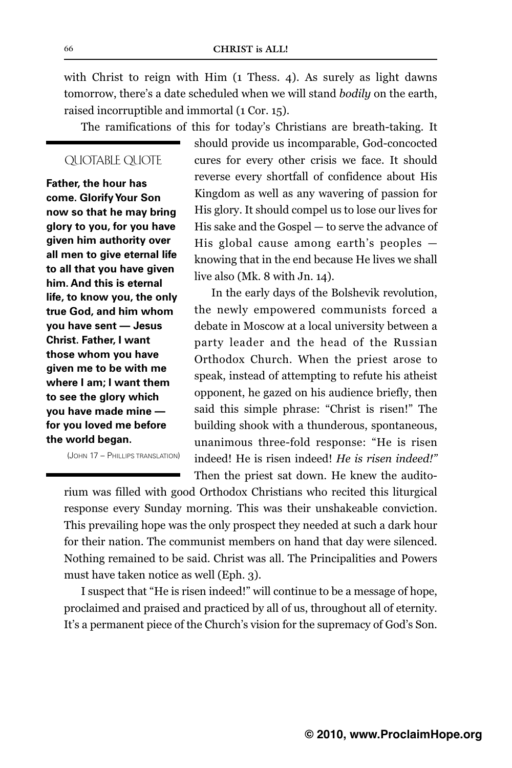with Christ to reign with Him (1 Thess. 4). As surely as light dawns tomorrow, there's a date scheduled when we will stand *bodily* on the earth, raised incorruptible and immortal (1 Cor. 15).

The ramifications of this for today's Christians are breath-taking. It

#### QUOTABLE QUOTE

**Father, the hour has come. GlorifyYour Son now so that he may bring glory to you, for you have given him authority over all men to give eternal life to all that you have given him. And this is eternal life, to know you, the only true God, and him whom you have sent — Jesus Christ. Father, I want those whom you have given me to be with me where I am; I want them to see the glory which you have made mine for you loved me before the world began.**

(JOHN 17 – PHILLIPS TRANSLATION)

should provide us incomparable, God-concocted cures for every other crisis we face. It should reverse every shortfall of confidence about His Kingdom as well as any wavering of passion for His glory. It should compel us to lose our lives for His sake and the Gospel — to serve the advance of His global cause among earth's peoples knowing that in the end because He lives we shall live also (Mk. 8 with Jn. 14).

In the early days of the Bolshevik revolution, the newly empowered communists forced a debate in Moscow at a local university between a party leader and the head of the Russian Orthodox Church. When the priest arose to speak, instead of attempting to refute his atheist opponent, he gazed on his audience briefly, then said this simple phrase: "Christ is risen!" The building shook with a thunderous, spontaneous, unanimous three-fold response: "He is risen indeed! He is risen indeed! *He is risen indeed!"* Then the priest sat down. He knew the audito-

rium was filled with good Orthodox Christians who recited this liturgical response every Sunday morning. This was their unshakeable conviction. This prevailing hope was the only prospect they needed at such a dark hour for their nation. The communist members on hand that day were silenced. Nothing remained to be said. Christ was all. The Principalities and Powers must have taken notice as well (Eph. 3).

I suspect that "He is risen indeed!" will continue to be a message of hope, proclaimed and praised and practiced by all of us, throughout all of eternity. It's a permanent piece of the Church's vision for the supremacy of God's Son.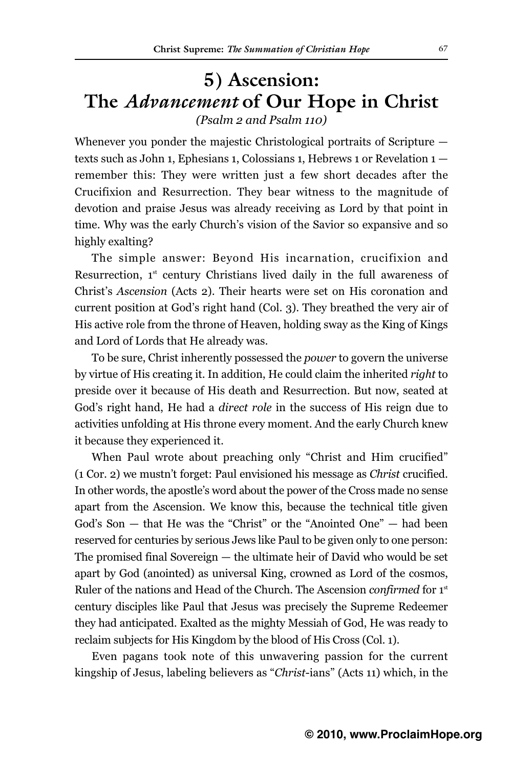## **5) Ascension: The** *Advancement* **of Our Hope in Christ** *(Psalm 2 and Psalm 110)*

Whenever you ponder the majestic Christological portraits of Scripture texts such as John 1, Ephesians 1, Colossians 1, Hebrews 1 or Revelation 1 remember this: They were written just a few short decades after the Crucifixion and Resurrection. They bear witness to the magnitude of devotion and praise Jesus was already receiving as Lord by that point in time. Why was the early Church's vision of the Savior so expansive and so highly exalting?

The simple answer: Beyond His incarnation, crucifixion and Resurrection,  $1<sup>st</sup>$  century Christians lived daily in the full awareness of Christ's *Ascension* (Acts 2). Their hearts were set on His coronation and current position at God's right hand (Col. 3). They breathed the very air of His active role from the throne of Heaven, holding sway as the King of Kings and Lord of Lords that He already was.

To be sure, Christ inherently possessed the *power* to govern the universe by virtue of His creating it. In addition, He could claim the inherited *right* to preside over it because of His death and Resurrection. But now, seated at God's right hand, He had a *direct role* in the success of His reign due to activities unfolding at His throne every moment. And the early Church knew it because they experienced it.

When Paul wrote about preaching only "Christ and Him crucified" (1 Cor. 2) we mustn't forget: Paul envisioned his message as *Christ* crucified. In other words, the apostle's word about the power of the Cross made no sense apart from the Ascension. We know this, because the technical title given God's Son — that He was the "Christ" or the "Anointed One" — had been reserved for centuries by serious Jews like Paul to be given only to one person: The promised final Sovereign — the ultimate heir of David who would be set apart by God (anointed) as universal King, crowned as Lord of the cosmos, Ruler of the nations and Head of the Church. The Ascension *confirmed* for 1st century disciples like Paul that Jesus was precisely the Supreme Redeemer they had anticipated. Exalted as the mighty Messiah of God, He was ready to reclaim subjects for His Kingdom by the blood of His Cross (Col. 1).

Even pagans took note of this unwavering passion for the current kingship of Jesus, labeling believers as "*Christ*-ians" (Acts 11) which, in the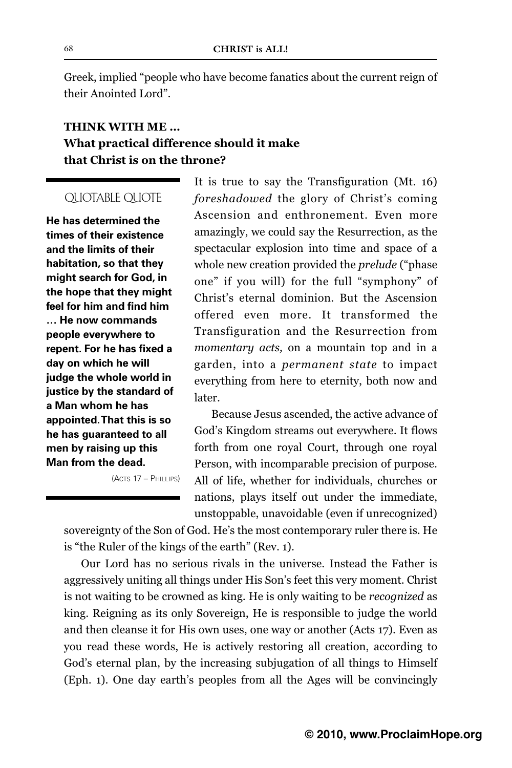Greek, implied "people who have become fanatics about the current reign of their Anointed Lord".

## **THINK WITH ME … What practical difference should it make that Christ is on the throne?**

### QUOTABLE QUOTE

**He has determined the times of their existence and the limits of their habitation, so that they might search for God, in the hope that they might feel for him and find him … He now commands people everywhere to repent. For he has fixed a day on which he will judge the whole world in justice by the standard of a Man whom he has appointed.That this is so he has guaranteed to all men by raising up this Man from the dead.**

(ACTS 17 – PHILLIPS)

It is true to say the Transfiguration (Mt. 16) *foreshadowed* the glory of Christ's coming Ascension and enthronement. Even more amazingly, we could say the Resurrection, as the spectacular explosion into time and space of a whole new creation provided the *prelude* ("phase one" if you will) for the full "symphony" of Christ's eternal dominion. But the Ascension offered even more. It transformed the Transfiguration and the Resurrection from *momentary acts,* on a mountain top and in a garden, into a *permanent state* to impact everything from here to eternity, both now and later.

Because Jesus ascended, the active advance of God's Kingdom streams out everywhere. It flows forth from one royal Court, through one royal Person, with incomparable precision of purpose. All of life, whether for individuals, churches or nations, plays itself out under the immediate, unstoppable, unavoidable (even if unrecognized)

sovereignty of the Son of God. He's the most contemporary ruler there is. He is "the Ruler of the kings of the earth" (Rev. 1).

Our Lord has no serious rivals in the universe. Instead the Father is aggressively uniting all things under His Son's feet this very moment. Christ is not waiting to be crowned as king. He is only waiting to be *recognized* as king. Reigning as its only Sovereign, He is responsible to judge the world and then cleanse it for His own uses, one way or another (Acts 17). Even as you read these words, He is actively restoring all creation, according to God's eternal plan, by the increasing subjugation of all things to Himself (Eph. 1). One day earth's peoples from all the Ages will be convincingly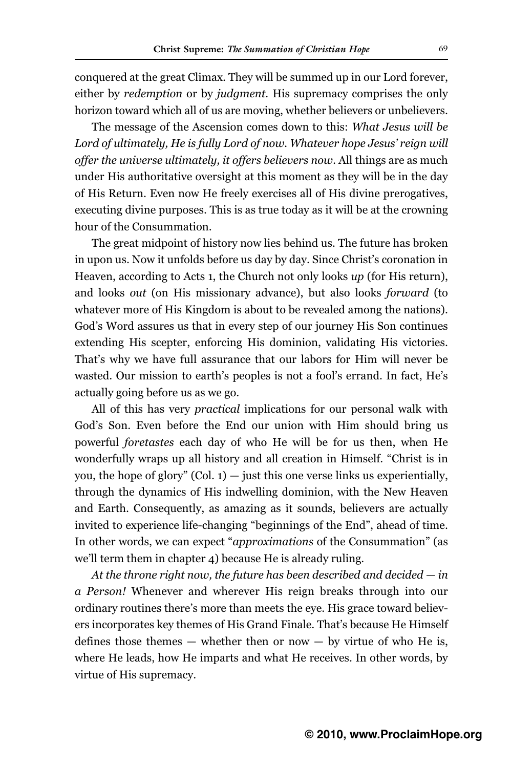conquered at the great Climax. They will be summed up in our Lord forever, either by *redemption* or by *judgment.* His supremacy comprises the only horizon toward which all of us are moving, whether believers or unbelievers.

The message of the Ascension comes down to this: *What Jesus will be Lord of ultimately, He is fully Lord of now. Whatever hope Jesus' reign will offer the universe ultimately, it offers believers now.* All things are as much under His authoritative oversight at this moment as they will be in the day of His Return. Even now He freely exercises all of His divine prerogatives, executing divine purposes. This is as true today as it will be at the crowning hour of the Consummation.

The great midpoint of history now lies behind us. The future has broken in upon us. Now it unfolds before us day by day. Since Christ's coronation in Heaven, according to Acts 1, the Church not only looks *up* (for His return), and looks *out* (on His missionary advance), but also looks *forward* (to whatever more of His Kingdom is about to be revealed among the nations). God's Word assures us that in every step of our journey His Son continues extending His scepter, enforcing His dominion, validating His victories. That's why we have full assurance that our labors for Him will never be wasted. Our mission to earth's peoples is not a fool's errand. In fact, He's actually going before us as we go.

All of this has very *practical* implications for our personal walk with God's Son. Even before the End our union with Him should bring us powerful *foretastes* each day of who He will be for us then, when He wonderfully wraps up all history and all creation in Himself. "Christ is in you, the hope of glory" (Col.  $1$ )  $-$  just this one verse links us experientially, through the dynamics of His indwelling dominion, with the New Heaven and Earth. Consequently, as amazing as it sounds, believers are actually invited to experience life-changing "beginnings of the End", ahead of time. In other words, we can expect "*approximations* of the Consummation" (as we'll term them in chapter 4) because He is already ruling.

*At the throne right now, the future has been described and decided — in a Person!* Whenever and wherever His reign breaks through into our ordinary routines there's more than meets the eye. His grace toward believers incorporates key themes of His Grand Finale. That's because He Himself defines those themes  $-$  whether then or now  $-$  by virtue of who He is, where He leads, how He imparts and what He receives. In other words, by virtue of His supremacy.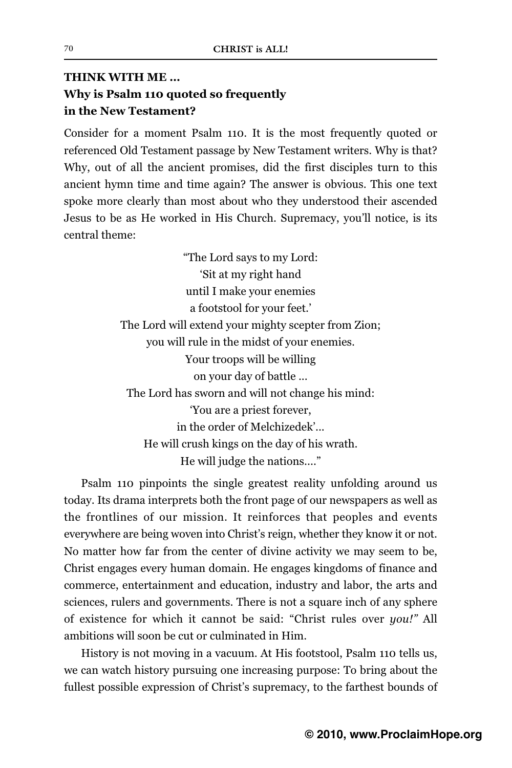## **THINK WITH ME … Why is Psalm 110 quoted so frequently in the New Testament?**

Consider for a moment Psalm 110. It is the most frequently quoted or referenced Old Testament passage by New Testament writers. Why is that? Why, out of all the ancient promises, did the first disciples turn to this ancient hymn time and time again? The answer is obvious. This one text spoke more clearly than most about who they understood their ascended Jesus to be as He worked in His Church. Supremacy, you'll notice, is its central theme:

> "The Lord says to my Lord: 'Sit at my right hand until I make your enemies a footstool for your feet.' The Lord will extend your mighty scepter from Zion; you will rule in the midst of your enemies. Your troops will be willing on your day of battle ... The Lord has sworn and will not change his mind: 'You are a priest forever, in the order of Melchizedek'... He will crush kings on the day of his wrath. He will judge the nations...."

Psalm 110 pinpoints the single greatest reality unfolding around us today. Its drama interprets both the front page of our newspapers as well as the frontlines of our mission. It reinforces that peoples and events everywhere are being woven into Christ's reign, whether they know it or not. No matter how far from the center of divine activity we may seem to be, Christ engages every human domain. He engages kingdoms of finance and commerce, entertainment and education, industry and labor, the arts and sciences, rulers and governments. There is not a square inch of any sphere of existence for which it cannot be said: "Christ rules over *you!"* All ambitions will soon be cut or culminated in Him.

History is not moving in a vacuum. At His footstool, Psalm 110 tells us, we can watch history pursuing one increasing purpose: To bring about the fullest possible expression of Christ's supremacy, to the farthest bounds of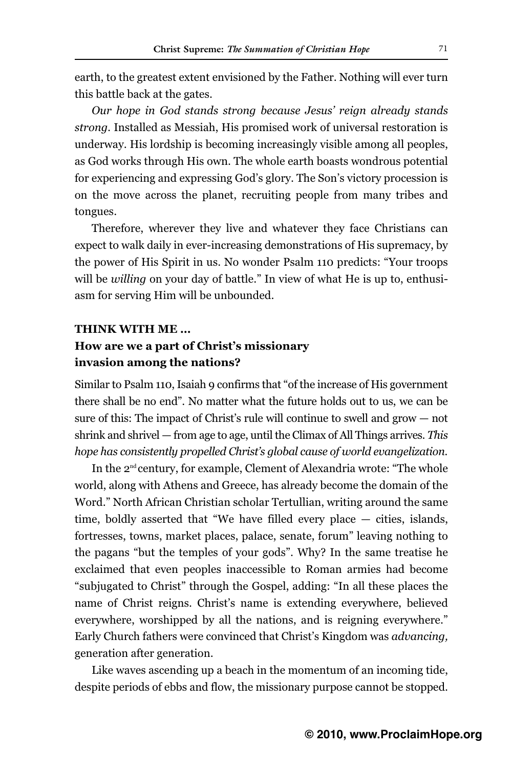earth, to the greatest extent envisioned by the Father. Nothing will ever turn this battle back at the gates.

*Our hope in God stands strong because Jesus' reign already stands strong.* Installed as Messiah, His promised work of universal restoration is underway. His lordship is becoming increasingly visible among all peoples, as God works through His own. The whole earth boasts wondrous potential for experiencing and expressing God's glory. The Son's victory procession is on the move across the planet, recruiting people from many tribes and tongues.

Therefore, wherever they live and whatever they face Christians can expect to walk daily in ever-increasing demonstrations of His supremacy, by the power of His Spirit in us. No wonder Psalm 110 predicts: "Your troops will be *willing* on your day of battle." In view of what He is up to, enthusiasm for serving Him will be unbounded.

#### **THINK WITH ME …**

## **How are we a part of Christ's missionary invasion among the nations?**

Similar to Psalm 110, Isaiah 9 confirms that "of the increase of His government" there shall be no end". No matter what the future holds out to us, we can be sure of this: The impact of Christ's rule will continue to swell and grow — not shrink and shrivel — from age to age, until the Climax of All Things arrives. *This hope has consistently propelled Christ's global cause of world evangelization.*

In the  $2<sup>nd</sup>$  century, for example, Clement of Alexandria wrote: "The whole world, along with Athens and Greece, has already become the domain of the Word." North African Christian scholar Tertullian, writing around the same time, boldly asserted that "We have filled every place — cities, islands, fortresses, towns, market places, palace, senate, forum" leaving nothing to the pagans "but the temples of your gods". Why? In the same treatise he exclaimed that even peoples inaccessible to Roman armies had become "subjugated to Christ" through the Gospel, adding: "In all these places the name of Christ reigns. Christ's name is extending everywhere, believed everywhere, worshipped by all the nations, and is reigning everywhere." Early Church fathers were convinced that Christ's Kingdom was *advancing,* generation after generation.

Like waves ascending up a beach in the momentum of an incoming tide, despite periods of ebbs and flow, the missionary purpose cannot be stopped.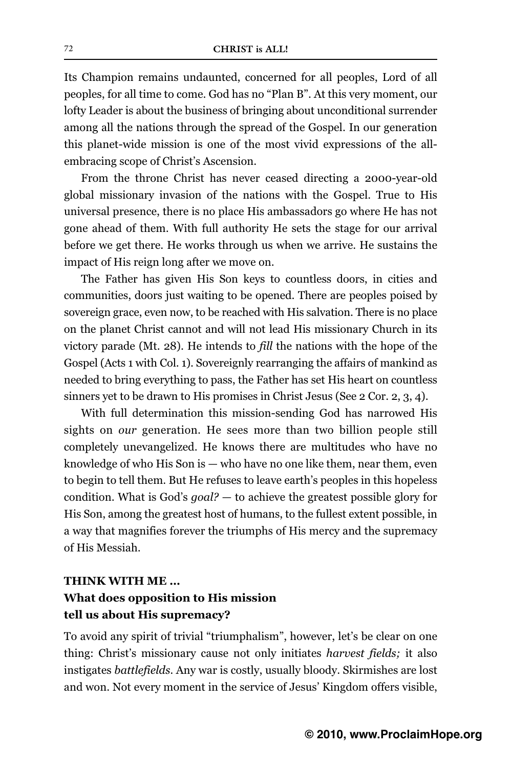Its Champion remains undaunted, concerned for all peoples, Lord of all peoples, for all time to come. God has no "Plan B". At this very moment, our lofty Leader is about the business of bringing about unconditional surrender among all the nations through the spread of the Gospel. In our generation this planet-wide mission is one of the most vivid expressions of the allembracing scope of Christ's Ascension.

From the throne Christ has never ceased directing a 2000-year-old global missionary invasion of the nations with the Gospel. True to His universal presence, there is no place His ambassadors go where He has not gone ahead of them. With full authority He sets the stage for our arrival before we get there. He works through us when we arrive. He sustains the impact of His reign long after we move on.

The Father has given His Son keys to countless doors, in cities and communities, doors just waiting to be opened. There are peoples poised by sovereign grace, even now, to be reached with His salvation. There is no place on the planet Christ cannot and will not lead His missionary Church in its victory parade (Mt. 28). He intends to *fill* the nations with the hope of the Gospel (Acts 1 with Col. 1). Sovereignly rearranging the affairs of mankind as needed to bring everything to pass, the Father has set His heart on countless sinners yet to be drawn to His promises in Christ Jesus (See 2 Cor. 2, 3, 4).

With full determination this mission-sending God has narrowed His sights on *our* generation. He sees more than two billion people still completely unevangelized. He knows there are multitudes who have no knowledge of who His Son is — who have no one like them, near them, even to begin to tell them. But He refuses to leave earth's peoples in this hopeless condition. What is God's *goal?* — to achieve the greatest possible glory for His Son, among the greatest host of humans, to the fullest extent possible, in a way that magnifies forever the triumphs of His mercy and the supremacy of His Messiah.

## **THINK WITH ME … What does opposition to His mission tell us about His supremacy?**

To avoid any spirit of trivial "triumphalism", however, let's be clear on one thing: Christ's missionary cause not only initiates *harvest fields;* it also instigates *battlefields.* Any war is costly, usually bloody. Skirmishes are lost and won. Not every moment in the service of Jesus' Kingdom offers visible,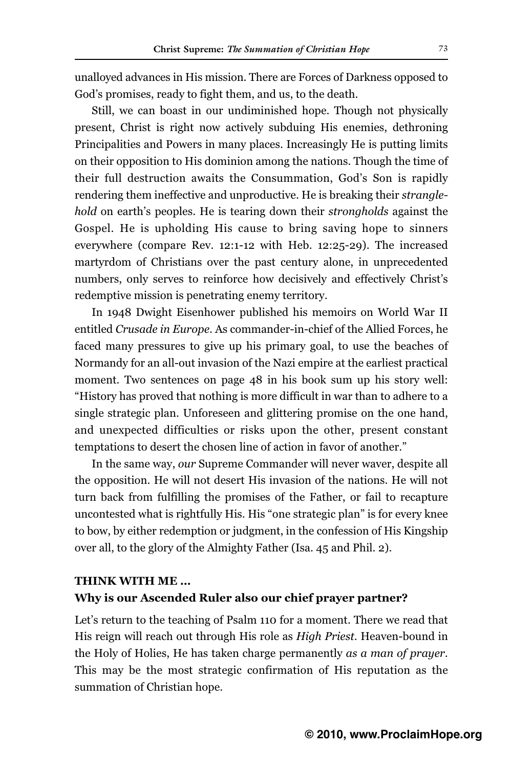unalloyed advances in His mission. There are Forces of Darkness opposed to God's promises, ready to fight them, and us, to the death.

Still, we can boast in our undiminished hope. Though not physically present, Christ is right now actively subduing His enemies, dethroning Principalities and Powers in many places. Increasingly He is putting limits on their opposition to His dominion among the nations. Though the time of their full destruction awaits the Consummation, God's Son is rapidly rendering them ineffective and unproductive. He is breaking their *stranglehold* on earth's peoples. He is tearing down their *strongholds* against the Gospel. He is upholding His cause to bring saving hope to sinners everywhere (compare Rev. 12:1-12 with Heb. 12:25-29). The increased martyrdom of Christians over the past century alone, in unprecedented numbers, only serves to reinforce how decisively and effectively Christ's redemptive mission is penetrating enemy territory.

In 1948 Dwight Eisenhower published his memoirs on World War II entitled *Crusade in Europe.* As commander-in-chief of the Allied Forces, he faced many pressures to give up his primary goal, to use the beaches of Normandy for an all-out invasion of the Nazi empire at the earliest practical moment. Two sentences on page 48 in his book sum up his story well: "History has proved that nothing is more difficult in war than to adhere to a single strategic plan. Unforeseen and glittering promise on the one hand, and unexpected difficulties or risks upon the other, present constant temptations to desert the chosen line of action in favor of another."

In the same way, *our* Supreme Commander will never waver, despite all the opposition. He will not desert His invasion of the nations. He will not turn back from fulfilling the promises of the Father, or fail to recapture uncontested what is rightfully His. His "one strategic plan" is for every knee to bow, by either redemption or judgment, in the confession of His Kingship over all, to the glory of the Almighty Father (Isa. 45 and Phil. 2).

### **THINK WITH ME … Why is our Ascended Ruler also our chief prayer partner?**

Let's return to the teaching of Psalm 110 for a moment. There we read that His reign will reach out through His role as *High Priest*. Heaven-bound in the Holy of Holies, He has taken charge permanently *as a man of prayer.* This may be the most strategic confirmation of His reputation as the summation of Christian hope.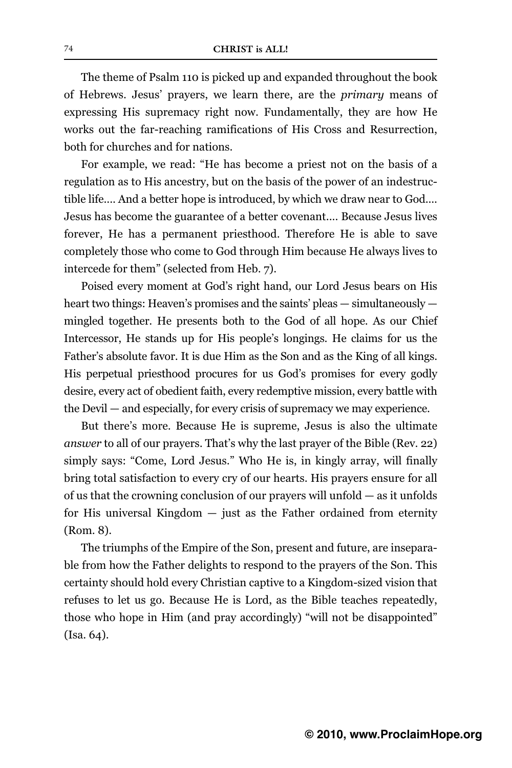The theme of Psalm 110 is picked up and expanded throughout the book of Hebrews. Jesus' prayers, we learn there, are the *primary* means of expressing His supremacy right now. Fundamentally, they are how He works out the far-reaching ramifications of His Cross and Resurrection, both for churches and for nations.

For example, we read: "He has become a priest not on the basis of a regulation as to His ancestry, but on the basis of the power of an indestructible life.... And a better hope is introduced, by which we draw near to God.... Jesus has become the guarantee of a better covenant.... Because Jesus lives forever, He has a permanent priesthood. Therefore He is able to save completely those who come to God through Him because He always lives to intercede for them" (selected from Heb. 7).

Poised every moment at God's right hand, our Lord Jesus bears on His heart two things: Heaven's promises and the saints' pleas — simultaneously mingled together. He presents both to the God of all hope. As our Chief Intercessor, He stands up for His people's longings. He claims for us the Father's absolute favor. It is due Him as the Son and as the King of all kings. His perpetual priesthood procures for us God's promises for every godly desire, every act of obedient faith, every redemptive mission, every battle with the Devil — and especially, for every crisis of supremacy we may experience.

But there's more. Because He is supreme, Jesus is also the ultimate *answer* to all of our prayers. That's why the last prayer of the Bible (Rev. 22) simply says: "Come, Lord Jesus." Who He is, in kingly array, will finally bring total satisfaction to every cry of our hearts. His prayers ensure for all of us that the crowning conclusion of our prayers will unfold  $-$  as it unfolds for His universal Kingdom  $-$  just as the Father ordained from eternity (Rom. 8).

The triumphs of the Empire of the Son, present and future, are inseparable from how the Father delights to respond to the prayers of the Son. This certainty should hold every Christian captive to a Kingdom-sized vision that refuses to let us go. Because He is Lord, as the Bible teaches repeatedly, those who hope in Him (and pray accordingly) "will not be disappointed" (Isa. 64).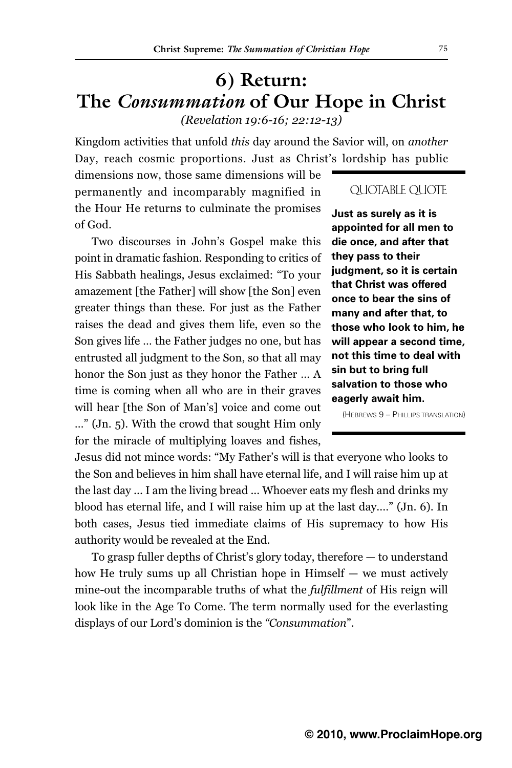## **6) Return: The** *Consummation* **of Our Hope in Christ**

*(Revelation 19:6-16; 22:12-13)*

Kingdom activities that unfold *this* day around the Savior will, on *another* Day, reach cosmic proportions. Just as Christ's lordship has public

dimensions now, those same dimensions will be permanently and incomparably magnified in the Hour He returns to culminate the promises of God.

Two discourses in John's Gospel make this point in dramatic fashion. Responding to critics of His Sabbath healings, Jesus exclaimed: "To your amazement [the Father] will show [the Son] even greater things than these. For just as the Father raises the dead and gives them life, even so the Son gives life … the Father judges no one, but has entrusted all judgment to the Son, so that all may honor the Son just as they honor the Father … A time is coming when all who are in their graves will hear [the Son of Man's] voice and come out …" (Jn. 5). With the crowd that sought Him only for the miracle of multiplying loaves and fishes,

Jesus did not mince words: "My Father's will is that everyone who looks to the Son and believes in him shall have eternal life, and I will raise him up at the last day ... I am the living bread ... Whoever eats my flesh and drinks my blood has eternal life, and I will raise him up at the last day...." (Jn. 6). In both cases, Jesus tied immediate claims of His supremacy to how His authority would be revealed at the End.

To grasp fuller depths of Christ's glory today, therefore — to understand how He truly sums up all Christian hope in Himself — we must actively mine-out the incomparable truths of what the *fulfillment* of His reign will look like in the Age To Come. The term normally used for the everlasting displays of our Lord's dominion is the *"Consummation*".

#### QUOTABLE QUOTE

**Just as surely as it is appointed for all men to die once, and after that they pass to their judgment, so it is certain that Christ was offered once to bear the sins of many and after that, to those who look to him, he will appear a second time, not this time to deal with sin but to bring full salvation to those who eagerly await him.**

(HEBREWS 9 – PHILLIPS TRANSLATION)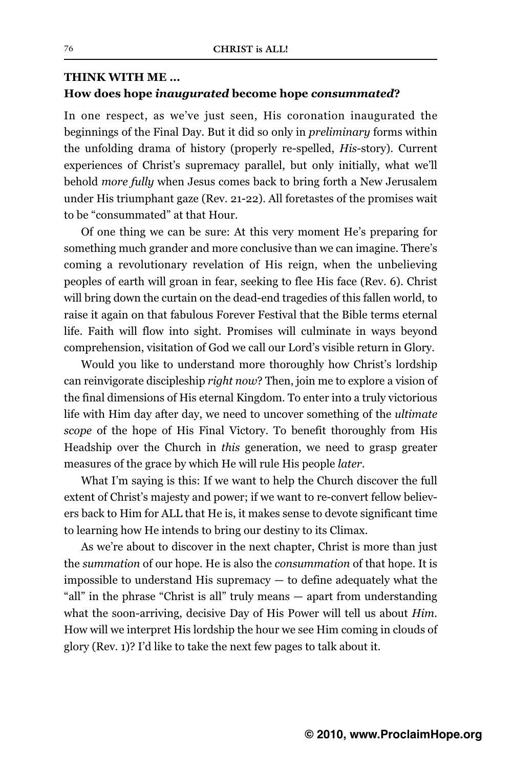#### **THINK WITH ME …**

#### **How does hope** *inaugurated* **become hope** *consummated***?**

In one respect, as we've just seen, His coronation inaugurated the beginnings of the Final Day. But it did so only in *preliminary* forms within the unfolding drama of history (properly re-spelled, *His*-story). Current experiences of Christ's supremacy parallel, but only initially, what we'll behold *more fully* when Jesus comes back to bring forth a New Jerusalem under His triumphant gaze (Rev. 21-22). All foretastes of the promises wait to be "consummated" at that Hour.

Of one thing we can be sure: At this very moment He's preparing for something much grander and more conclusive than we can imagine. There's coming a revolutionary revelation of His reign, when the unbelieving peoples of earth will groan in fear, seeking to flee His face (Rev. 6). Christ will bring down the curtain on the dead-end tragedies of this fallen world, to raise it again on that fabulous Forever Festival that the Bible terms eternal life. Faith will flow into sight. Promises will culminate in ways beyond comprehension, visitation of God we call our Lord's visible return in Glory.

Would you like to understand more thoroughly how Christ's lordship can reinvigorate discipleship *right now*? Then, join me to explore a vision of the final dimensions of His eternal Kingdom. To enter into a truly victorious life with Him day after day, we need to uncover something of the *ultimate scope* of the hope of His Final Victory. To benefit thoroughly from His Headship over the Church in *this* generation, we need to grasp greater measures of the grace by which He will rule His people *later*.

What I'm saying is this: If we want to help the Church discover the full extent of Christ's majesty and power; if we want to re-convert fellow believers back to Him for ALL that He is, it makes sense to devote significant time to learning how He intends to bring our destiny to its Climax.

As we're about to discover in the next chapter, Christ is more than just the *summation* of our hope. He is also the *consummation* of that hope. It is impossible to understand His supremacy — to define adequately what the "all" in the phrase "Christ is all" truly means — apart from understanding what the soon-arriving, decisive Day of His Power will tell us about *Him*. How will we interpret His lordship the hour we see Him coming in clouds of glory (Rev. 1)? I'd like to take the next few pages to talk about it.